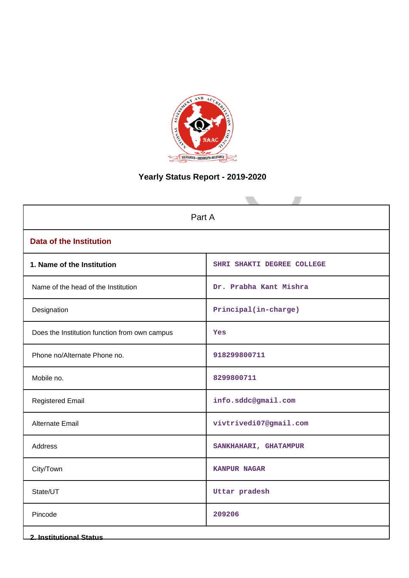

# **Yearly Status Report - 2019-2020**

| Part A                                        |                            |  |  |  |  |
|-----------------------------------------------|----------------------------|--|--|--|--|
| <b>Data of the Institution</b>                |                            |  |  |  |  |
| 1. Name of the Institution                    | SHRI SHAKTI DEGREE COLLEGE |  |  |  |  |
| Name of the head of the Institution           | Dr. Prabha Kant Mishra     |  |  |  |  |
| Designation                                   | Principal(in-charge)       |  |  |  |  |
| Does the Institution function from own campus | Yes                        |  |  |  |  |
| Phone no/Alternate Phone no.                  | 918299800711               |  |  |  |  |
| Mobile no.                                    | 8299800711                 |  |  |  |  |
| <b>Registered Email</b>                       | info.sddc@gmail.com        |  |  |  |  |
| Alternate Email                               | vivtrivedi07@gmail.com     |  |  |  |  |
| Address                                       | SANKHAHARI, GHATAMPUR      |  |  |  |  |
| City/Town                                     | <b>KANPUR NAGAR</b>        |  |  |  |  |
| State/UT                                      | Uttar pradesh              |  |  |  |  |
| Pincode                                       | 209206                     |  |  |  |  |
| <b>2. Institutional Status</b>                |                            |  |  |  |  |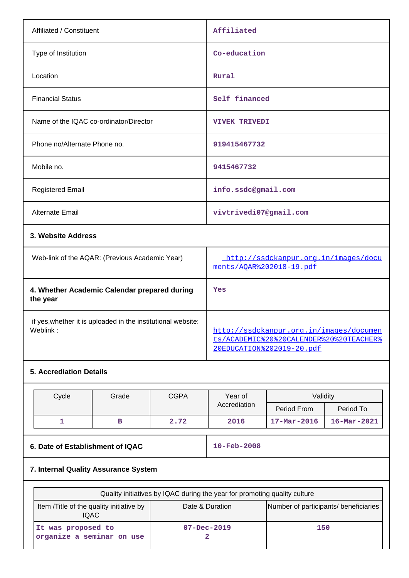| Affiliated / Constituent                       | Affiliated                           |
|------------------------------------------------|--------------------------------------|
| Type of Institution                            | Co-education                         |
| Location                                       | Rural                                |
| <b>Financial Status</b>                        | Self financed                        |
| Name of the IQAC co-ordinator/Director         | <b>VIVEK TRIVEDI</b>                 |
| Phone no/Alternate Phone no.                   | 919415467732                         |
| Mobile no.                                     | 9415467732                           |
| <b>Registered Email</b>                        | info.ssdc@gmail.com                  |
| <b>Alternate Email</b>                         | vivtrivedi07@gmail.com               |
| 3. Website Address                             |                                      |
| Web-link of the AQAR: (Previous Academic Year) | http://ssdckanpur.org.in/images/docu |

# **5. Accrediation Details**

**the year**

| Cycle | Grade | <b>CGPA</b> | Year of      | Validity                 |                          |
|-------|-------|-------------|--------------|--------------------------|--------------------------|
|       |       |             | Accrediation | Period From              | Period To                |
|       |       | 2.72        | 2016         | $17 - \text{Mar} - 2016$ | $16 - \text{Mar} - 2021$ |

**Yes**

# **6. Date of Establishment of IQAC 10-Feb-2008**

ments/AQAR%202018-19.pdf

20EDUCATION%202019-20.pdf

http://ssdckanpur.org.in/images/documen ts/ACADEMIC%20%20CALENDER%20%20TEACHER%

# **7. Internal Quality Assurance System**

**4. Whether Academic Calendar prepared during**

if yes,whether it is uploaded in the institutional website:

| Quality initiatives by IQAC during the year for promoting quality culture |                   |                                       |  |  |  |  |
|---------------------------------------------------------------------------|-------------------|---------------------------------------|--|--|--|--|
| Item / Title of the quality initiative by<br>IQAC.                        | Date & Duration   | Number of participants/ beneficiaries |  |  |  |  |
| It was proposed to<br>organize a seminar on use                           | $07 - Dec - 2019$ | 150                                   |  |  |  |  |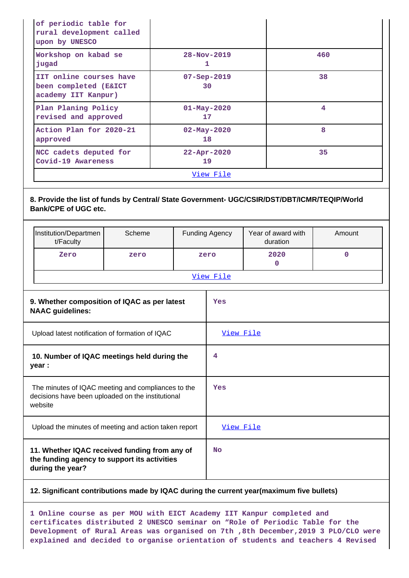| $28 - Nov - 2019$<br>1                                                                                                      | 460 |  |  |  |  |  |  |
|-----------------------------------------------------------------------------------------------------------------------------|-----|--|--|--|--|--|--|
| $07 - Sep - 2019$<br>30                                                                                                     | 38  |  |  |  |  |  |  |
| $01 - May - 2020$<br>17                                                                                                     | 4   |  |  |  |  |  |  |
| $02 - May - 2020$<br>18                                                                                                     | 8   |  |  |  |  |  |  |
| $22 - Appr - 2020$<br>19                                                                                                    | 35  |  |  |  |  |  |  |
| <u>View File</u>                                                                                                            |     |  |  |  |  |  |  |
| 8. Provide the list of funds by Central/ State Government- UGC/CSIR/DST/DBT/ICMR/TEQIP/World<br><b>Bank/CPE of UGC etc.</b> |     |  |  |  |  |  |  |
|                                                                                                                             |     |  |  |  |  |  |  |

|                                                                                                                    | Institution/Departmen<br>t/Faculty | Scheme |           | Funding Agency | Year of award with<br>duration | Amount      |  |  |
|--------------------------------------------------------------------------------------------------------------------|------------------------------------|--------|-----------|----------------|--------------------------------|-------------|--|--|
|                                                                                                                    | Zero                               | zero   |           | zero           | 2020<br>$\Omega$               | $\mathbf 0$ |  |  |
|                                                                                                                    |                                    |        | View File |                |                                |             |  |  |
| 9. Whether composition of IQAC as per latest<br><b>NAAC</b> guidelines:                                            |                                    |        |           | Yes            |                                |             |  |  |
| Upload latest notification of formation of IQAC                                                                    |                                    |        | View File |                |                                |             |  |  |
| 10. Number of IQAC meetings held during the<br>year :                                                              |                                    |        | 4         |                |                                |             |  |  |
| The minutes of IQAC meeting and compliances to the<br>decisions have been uploaded on the institutional<br>website |                                    |        |           | Yes            |                                |             |  |  |
| Upload the minutes of meeting and action taken report                                                              |                                    |        | View File |                |                                |             |  |  |
| 11. Whether IQAC received funding from any of<br>the funding agency to support its activities<br>during the year?  |                                    |        |           | <b>No</b>      |                                |             |  |  |

#### **12. Significant contributions made by IQAC during the current year(maximum five bullets)**

**1 Online course as per MOU with EICT Academy IIT Kanpur completed and certificates distributed 2 UNESCO seminar on "Role of Periodic Table for the Development of Rural Areas was organised on 7th ,8th December,2019 3 PLO/CLO were explained and decided to organise orientation of students and teachers 4 Revised**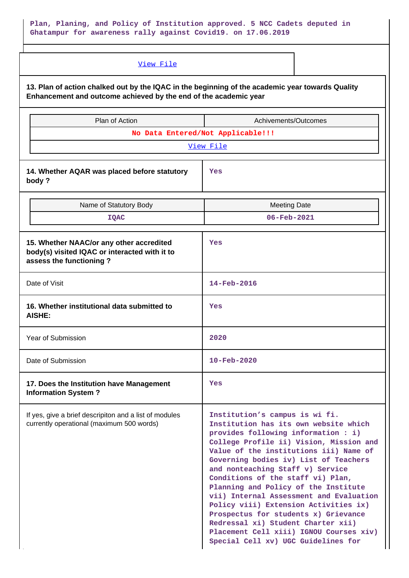# **Plan, Planing, and Policy of Institution approved. 5 NCC Cadets deputed in Ghatampur for awareness rally against Covid19. on 17.06.2019**

| View File                                                                                                                                                            |                                                                                                                                                                                                                                                                                                                                                                                                                                                                                                                                                                                                                   |  |  |  |  |
|----------------------------------------------------------------------------------------------------------------------------------------------------------------------|-------------------------------------------------------------------------------------------------------------------------------------------------------------------------------------------------------------------------------------------------------------------------------------------------------------------------------------------------------------------------------------------------------------------------------------------------------------------------------------------------------------------------------------------------------------------------------------------------------------------|--|--|--|--|
| 13. Plan of action chalked out by the IQAC in the beginning of the academic year towards Quality<br>Enhancement and outcome achieved by the end of the academic year |                                                                                                                                                                                                                                                                                                                                                                                                                                                                                                                                                                                                                   |  |  |  |  |
| Plan of Action                                                                                                                                                       | Achivements/Outcomes                                                                                                                                                                                                                                                                                                                                                                                                                                                                                                                                                                                              |  |  |  |  |
|                                                                                                                                                                      | No Data Entered/Not Applicable!!!                                                                                                                                                                                                                                                                                                                                                                                                                                                                                                                                                                                 |  |  |  |  |
|                                                                                                                                                                      | View File                                                                                                                                                                                                                                                                                                                                                                                                                                                                                                                                                                                                         |  |  |  |  |
| 14. Whether AQAR was placed before statutory<br>body?                                                                                                                | Yes                                                                                                                                                                                                                                                                                                                                                                                                                                                                                                                                                                                                               |  |  |  |  |
| Name of Statutory Body                                                                                                                                               | <b>Meeting Date</b>                                                                                                                                                                                                                                                                                                                                                                                                                                                                                                                                                                                               |  |  |  |  |
| <b>IQAC</b>                                                                                                                                                          | $06 - \text{Feb} - 2021$                                                                                                                                                                                                                                                                                                                                                                                                                                                                                                                                                                                          |  |  |  |  |
| 15. Whether NAAC/or any other accredited<br>body(s) visited IQAC or interacted with it to<br>assess the functioning?                                                 | Yes                                                                                                                                                                                                                                                                                                                                                                                                                                                                                                                                                                                                               |  |  |  |  |
| Date of Visit                                                                                                                                                        | $14 - \text{Feb} - 2016$                                                                                                                                                                                                                                                                                                                                                                                                                                                                                                                                                                                          |  |  |  |  |
| 16. Whether institutional data submitted to<br><b>AISHE:</b>                                                                                                         | Yes                                                                                                                                                                                                                                                                                                                                                                                                                                                                                                                                                                                                               |  |  |  |  |
| <b>Year of Submission</b>                                                                                                                                            | 2020                                                                                                                                                                                                                                                                                                                                                                                                                                                                                                                                                                                                              |  |  |  |  |
| Date of Submission                                                                                                                                                   | $10 - \text{Feb} - 2020$                                                                                                                                                                                                                                                                                                                                                                                                                                                                                                                                                                                          |  |  |  |  |
| 17. Does the Institution have Management<br><b>Information System?</b>                                                                                               | Yes                                                                                                                                                                                                                                                                                                                                                                                                                                                                                                                                                                                                               |  |  |  |  |
| If yes, give a brief descripiton and a list of modules<br>currently operational (maximum 500 words)                                                                  | Institution's campus is wi fi.<br>Institution has its own website which<br>provides following information : i)<br>College Profile ii) Vision, Mission and<br>Value of the institutions iii) Name of<br>Governing bodies iv) List of Teachers<br>and nonteaching Staff v) Service<br>Conditions of the staff vi) Plan,<br>Planning and Policy of the Institute<br>vii) Internal Assessment and Evaluation<br>Policy viii) Extension Activities ix)<br>Prospectus for students x) Grievance<br>Redressal xi) Student Charter xii)<br>Placement Cell xiii) IGNOU Courses xiv)<br>Special Cell xv) UGC Guidelines for |  |  |  |  |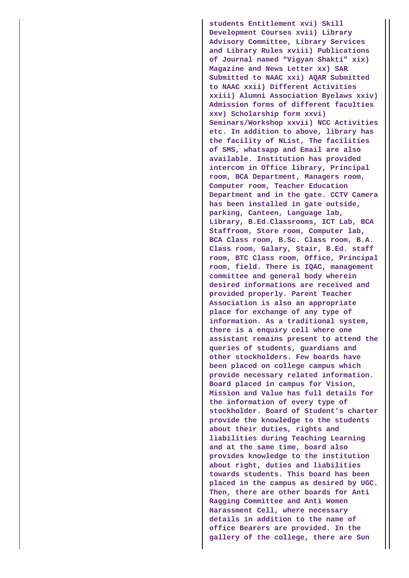**students Entitlement xvi) Skill Development Courses xvii) Library Advisory Committee, Library Services and Library Rules xviii) Publications of Journal named "Vigyan Shakti" xix) Magazine and News Letter xx) SAR Submitted to NAAC xxi) AQAR Submitted to NAAC xxii) Different Activities xxiii) Alumni Association Byelaws xxiv) Admission forms of different faculties xxv) Scholarship form xxvi) Seminars/Workshop xxvii) NCC Activities etc. In addition to above, library has the facility of NList, The facilities of SMS, whatsapp and Email are also available. Institution has provided intercom in Office library, Principal room, BCA Department, Managers room, Computer room, Teacher Education Department and in the gate. CCTV Camera has been installed in gate outside, parking, Canteen, Language lab, Library, B.Ed.Classrooms, ICT Lab, BCA Staffroom, Store room, Computer lab, BCA Class room, B.Sc. Class room, B.A. Class room, Galary, Stair, B.Ed. staff room, BTC Class room, Office, Principal room, field. There is IQAC, management committee and general body wherein desired informations are received and provided properly. Parent Teacher Association is also an appropriate place for exchange of any type of information. As a traditional system, there is a enquiry cell where one assistant remains present to attend the queries of students, guardians and other stockholders. Few boards have been placed on college campus which provide necessary related information. Board placed in campus for Vision, Mission and Value has full details for the information of every type of stockholder. Board of Student's charter provide the knowledge to the students about their duties, rights and liabilities during Teaching Learning and at the same time, board also provides knowledge to the institution about right, duties and liabilities towards students. This board has been placed in the campus as desired by UGC. Then, there are other boards for Anti Ragging Committee and Anti Women Harassment Cell, where necessary details in addition to the name of office Bearers are provided. In the gallery of the college, there are Sun**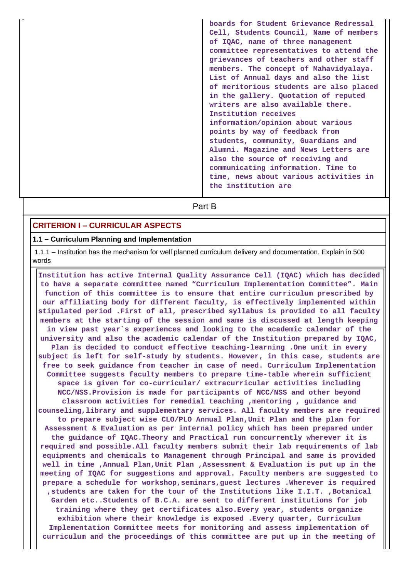**boards for Student Grievance Redressal Cell, Students Council, Name of members of IQAC, name of three management committee representatives to attend the grievances of teachers and other staff members. The concept of Mahavidyalaya. List of Annual days and also the list of meritorious students are also placed in the gallery. Quotation of reputed writers are also available there. Institution receives information/opinion about various points by way of feedback from students, community, Guardians and Alumni. Magazine and News Letters are also the source of receiving and communicating information. Time to time, news about various activities in the institution are**

# **Part B**

#### **CRITERION I – CURRICULAR ASPECTS**

## **1.1 – Curriculum Planning and Implementation**

 1.1.1 – Institution has the mechanism for well planned curriculum delivery and documentation. Explain in 500 words

 **Institution has active Internal Quality Assurance Cell (IQAC) which has decided to have a separate committee named "Curriculum Implementation Committee". Main function of this committee is to ensure that entire curriculum prescribed by our affiliating body for different faculty, is effectively implemented within stipulated period .First of all, prescribed syllabus is provided to all faculty members at the starting of the session and same is discussed at length keeping in view past year`s experiences and looking to the academic calendar of the university and also the academic calendar of the Institution prepared by IQAC, Plan is decided to conduct effective teaching-learning .One unit in every subject is left for self-study by students. However, in this case, students are free to seek guidance from teacher in case of need. Curriculum Implementation Committee suggests faculty members to prepare time-table wherein sufficient space is given for co-curricular/ extracurricular activities including NCC/NSS.Provision is made for participants of NCC/NSS and other beyond classroom activities for remedial teaching ,mentoring , guidance and counseling,library and supplementary services. All faculty members are required to prepare subject wise CLO/PLO Annual Plan,Unit Plan and the plan for Assessment & Evaluation as per internal policy which has been prepared under the guidance of IQAC.Theory and Practical run concurrently wherever it is required and possible.All faculty members submit their lab requirements of lab equipments and chemicals to Management through Principal and same is provided well in time ,Annual Plan,Unit Plan ,Assessment & Evaluation is put up in the meeting of IQAC for suggestions and approval. Faculty members are suggested to prepare a schedule for workshop,seminars,guest lectures .Wherever is required ,students are taken for the tour of the Institutions like I.I.T. ,Botanical Garden etc..Students of B.C.A. are sent to different institutions for job training where they get certificates also.Every year, students organize exhibition where their knowledge is exposed .Every quarter, Curriculum Implementation Committee meets for monitoring and assess implementation of curriculum and the proceedings of this committee are put up in the meeting of**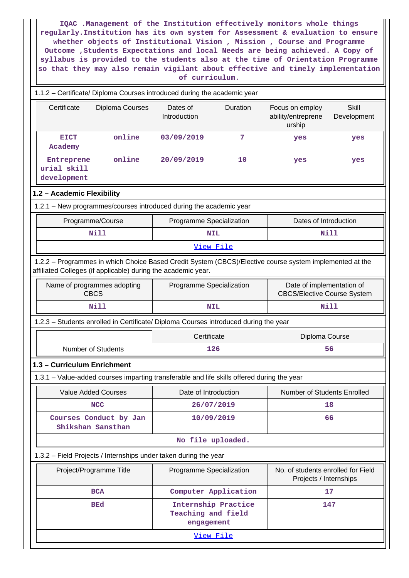**IQAC .Management of the Institution effectively monitors whole things regularly.Institution has its own system for Assessment & evaluation to ensure whether objects of Institutional Vision , Mission , Course and Programme Outcome ,Students Expectations and local Needs are being achieved. A Copy of syllabus is provided to the students also at the time of Orientation Programme so that they may also remain vigilant about effective and timely implementation of curriculum.**

| Certificate<br>Dates of<br>Duration<br><b>Skill</b><br>Diploma Courses<br>Focus on employ<br>Introduction<br>ability/entreprene<br>Development<br>urship<br>online<br><b>EICT</b><br>03/09/2019<br>7<br>yes<br>yes<br>Academy<br>online<br>20/09/2019<br>Entreprene<br>10<br>yes<br>yes<br>urial skill<br>development |  |  |  |  |  |  |  |
|-----------------------------------------------------------------------------------------------------------------------------------------------------------------------------------------------------------------------------------------------------------------------------------------------------------------------|--|--|--|--|--|--|--|
|                                                                                                                                                                                                                                                                                                                       |  |  |  |  |  |  |  |
|                                                                                                                                                                                                                                                                                                                       |  |  |  |  |  |  |  |
|                                                                                                                                                                                                                                                                                                                       |  |  |  |  |  |  |  |
| 1.2 - Academic Flexibility                                                                                                                                                                                                                                                                                            |  |  |  |  |  |  |  |
| 1.2.1 - New programmes/courses introduced during the academic year                                                                                                                                                                                                                                                    |  |  |  |  |  |  |  |
| Programme/Course<br>Programme Specialization<br>Dates of Introduction                                                                                                                                                                                                                                                 |  |  |  |  |  |  |  |
| <b>Nill</b><br>Nill<br><b>NIL</b>                                                                                                                                                                                                                                                                                     |  |  |  |  |  |  |  |
| View File                                                                                                                                                                                                                                                                                                             |  |  |  |  |  |  |  |
| 1.2.2 - Programmes in which Choice Based Credit System (CBCS)/Elective course system implemented at the<br>affiliated Colleges (if applicable) during the academic year.                                                                                                                                              |  |  |  |  |  |  |  |
| Programme Specialization<br>Date of implementation of<br>Name of programmes adopting<br><b>CBCS</b><br><b>CBCS/Elective Course System</b>                                                                                                                                                                             |  |  |  |  |  |  |  |
| <b>Nill</b><br><b>Nill</b><br><b>NIL</b>                                                                                                                                                                                                                                                                              |  |  |  |  |  |  |  |
| 1.2.3 - Students enrolled in Certificate/ Diploma Courses introduced during the year                                                                                                                                                                                                                                  |  |  |  |  |  |  |  |
| Certificate<br>Diploma Course                                                                                                                                                                                                                                                                                         |  |  |  |  |  |  |  |
| <b>Number of Students</b><br>126<br>56                                                                                                                                                                                                                                                                                |  |  |  |  |  |  |  |
| 1.3 - Curriculum Enrichment                                                                                                                                                                                                                                                                                           |  |  |  |  |  |  |  |
| 1.3.1 - Value-added courses imparting transferable and life skills offered during the year                                                                                                                                                                                                                            |  |  |  |  |  |  |  |
| Number of Students Enrolled<br><b>Value Added Courses</b><br>Date of Introduction                                                                                                                                                                                                                                     |  |  |  |  |  |  |  |
| <b>NCC</b><br>26/07/2019<br>18                                                                                                                                                                                                                                                                                        |  |  |  |  |  |  |  |
| Courses Conduct by Jan<br>10/09/2019<br>66<br>Shikshan Sansthan                                                                                                                                                                                                                                                       |  |  |  |  |  |  |  |
| No file uploaded.                                                                                                                                                                                                                                                                                                     |  |  |  |  |  |  |  |
| 1.3.2 - Field Projects / Internships under taken during the year                                                                                                                                                                                                                                                      |  |  |  |  |  |  |  |
|                                                                                                                                                                                                                                                                                                                       |  |  |  |  |  |  |  |
| Project/Programme Title<br>No. of students enrolled for Field<br>Programme Specialization<br>Projects / Internships                                                                                                                                                                                                   |  |  |  |  |  |  |  |
| Computer Application<br><b>BCA</b><br>17                                                                                                                                                                                                                                                                              |  |  |  |  |  |  |  |
| Internship Practice<br><b>BEd</b><br>147<br>Teaching and field<br>engagement                                                                                                                                                                                                                                          |  |  |  |  |  |  |  |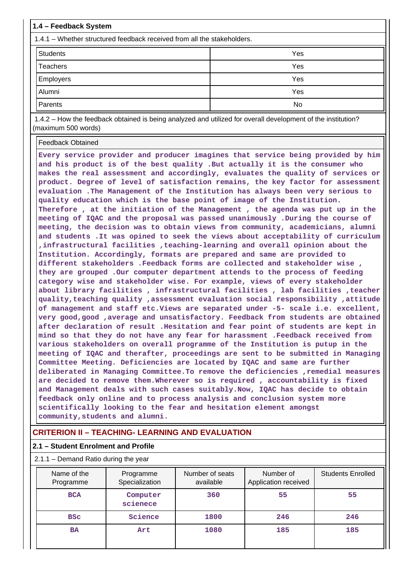| 1.4 – Feedback System                                                   |     |  |  |  |  |
|-------------------------------------------------------------------------|-----|--|--|--|--|
| 1.4.1 – Whether structured feedback received from all the stakeholders. |     |  |  |  |  |
| <b>Students</b>                                                         | Yes |  |  |  |  |
| Teachers                                                                | Yes |  |  |  |  |
| Employers                                                               | Yes |  |  |  |  |
| Alumni                                                                  | Yes |  |  |  |  |
| Parents                                                                 | No  |  |  |  |  |

 1.4.2 – How the feedback obtained is being analyzed and utilized for overall development of the institution? (maximum 500 words)

Feedback Obtained

**Every service provider and producer imagines that service being provided by him and his product is of the best quality .But actually it is the consumer who makes the real assessment and accordingly, evaluates the quality of services or product. Degree of level of satisfaction remains, the key factor for assessment evaluation .The Management of the Institution has always been very serious to quality education which is the base point of image of the Institution. Therefore , at the initiation of the Management , the agenda was put up in the meeting of IQAC and the proposal was passed unanimously .During the course of meeting, the decision was to obtain views from community, academicians, alumni and students .It was opined to seek the views about acceptability of curriculum ,infrastructural facilities ,teaching-learning and overall opinion about the Institution. Accordingly, formats are prepared and same are provided to different stakeholders .Feedback forms are collected and stakeholder wise , they are grouped .Our computer department attends to the process of feeding category wise and stakeholder wise. For example, views of every stakeholder about library facilities , infrastructural facilities , lab facilities ,teacher quality,teaching quality ,assessment evaluation social responsibility ,attitude of management and staff etc.Views are separated under -5- scale i.e. excellent, very good,good ,average and unsatisfactory. Feedback from students are obtained after declaration of result .Hesitation and fear point of students are kept in mind so that they do not have any fear for harassment .Feedback received from various stakeholders on overall programme of the Institution is putup in the meeting of IQAC and therafter, proceedings are sent to be submitted in Managing Committee Meeting. Deficiencies are located by IQAC and same are further deliberated in Managing Committee.To remove the deficiencies ,remedial measures are decided to remove them.Wherever so is required , accountability is fixed and Management deals with such cases suitably.Now, IQAC has decide to obtain feedback only online and to process analysis and conclusion system more scientifically looking to the fear and hesitation element amongst community,students and alumni.**

# **CRITERION II – TEACHING- LEARNING AND EVALUATION**

#### **2.1 – Student Enrolment and Profile**

2.1.1 – Demand Ratio during the year

| Name of the<br>Programme | Programme<br>Specialization | Number of seats<br>available | Number of<br>Application received | <b>Students Enrolled</b> |
|--------------------------|-----------------------------|------------------------------|-----------------------------------|--------------------------|
| <b>BCA</b>               | Computer<br>scienece        | 360                          | 55                                | 55                       |
| <b>BSC</b>               | Science                     | 1800                         | 246                               | 246                      |
| <b>BA</b>                | Art                         | 1080                         | 185                               | 185                      |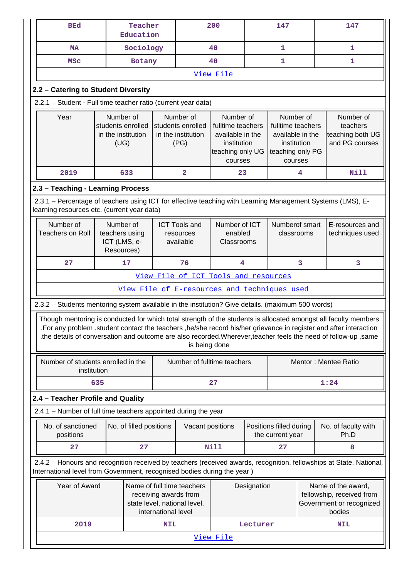| <b>BEd</b>                                                                                                                                                |                                                                                                                                                                                                                                  | Teacher<br>Education    |                                                                                                  |                                                | 200                                                                                   |                              | 147                                         |   | 147                                                                                                                                                                                                                                                                                                                                                     |
|-----------------------------------------------------------------------------------------------------------------------------------------------------------|----------------------------------------------------------------------------------------------------------------------------------------------------------------------------------------------------------------------------------|-------------------------|--------------------------------------------------------------------------------------------------|------------------------------------------------|---------------------------------------------------------------------------------------|------------------------------|---------------------------------------------|---|---------------------------------------------------------------------------------------------------------------------------------------------------------------------------------------------------------------------------------------------------------------------------------------------------------------------------------------------------------|
| <b>MA</b>                                                                                                                                                 |                                                                                                                                                                                                                                  | Sociology               |                                                                                                  | 40                                             |                                                                                       | 1                            |                                             | 1 |                                                                                                                                                                                                                                                                                                                                                         |
| <b>MSC</b>                                                                                                                                                |                                                                                                                                                                                                                                  | Botany                  |                                                                                                  |                                                | 40                                                                                    |                              | 1                                           |   | 1                                                                                                                                                                                                                                                                                                                                                       |
|                                                                                                                                                           |                                                                                                                                                                                                                                  |                         |                                                                                                  |                                                | View File                                                                             |                              |                                             |   |                                                                                                                                                                                                                                                                                                                                                         |
| 2.2 - Catering to Student Diversity                                                                                                                       |                                                                                                                                                                                                                                  |                         |                                                                                                  |                                                |                                                                                       |                              |                                             |   |                                                                                                                                                                                                                                                                                                                                                         |
| 2.2.1 - Student - Full time teacher ratio (current year data)                                                                                             |                                                                                                                                                                                                                                  |                         |                                                                                                  |                                                |                                                                                       |                              |                                             |   |                                                                                                                                                                                                                                                                                                                                                         |
| Year                                                                                                                                                      | Number of<br>Number of<br>Number of<br>students enrolled<br>students enrolled<br>fulltime teachers<br>in the institution<br>in the institution<br>available in the<br>(UG)<br>(PG)<br>institution<br>teaching only UG<br>courses |                         | Number of<br>fulltime teachers<br>available in the<br>institution<br>teaching only PG<br>courses |                                                | Number of<br>teachers<br>teaching both UG<br>and PG courses                           |                              |                                             |   |                                                                                                                                                                                                                                                                                                                                                         |
| 2019                                                                                                                                                      |                                                                                                                                                                                                                                  | 633                     |                                                                                                  | $\overline{\mathbf{2}}$                        | 23                                                                                    |                              |                                             | 4 | <b>Nill</b>                                                                                                                                                                                                                                                                                                                                             |
| 2.3 - Teaching - Learning Process                                                                                                                         |                                                                                                                                                                                                                                  |                         |                                                                                                  |                                                |                                                                                       |                              |                                             |   |                                                                                                                                                                                                                                                                                                                                                         |
| 2.3.1 – Percentage of teachers using ICT for effective teaching with Learning Management Systems (LMS), E-<br>learning resources etc. (current year data) |                                                                                                                                                                                                                                  |                         |                                                                                                  |                                                |                                                                                       |                              |                                             |   |                                                                                                                                                                                                                                                                                                                                                         |
| Number of<br><b>Teachers on Roll</b>                                                                                                                      | Number of<br>teachers using<br>ICT (LMS, e-<br>Resources)                                                                                                                                                                        |                         |                                                                                                  | <b>ICT Tools and</b><br>resources<br>available | Number of ICT<br>enabled<br>Classrooms                                                | Numberof smart<br>classrooms |                                             |   | E-resources and<br>techniques used                                                                                                                                                                                                                                                                                                                      |
| 27<br>17<br>76<br>$\overline{\mathbf{4}}$                                                                                                                 |                                                                                                                                                                                                                                  |                         |                                                                                                  |                                                |                                                                                       | 3                            | 3                                           |   |                                                                                                                                                                                                                                                                                                                                                         |
| View File of ICT Tools and resources                                                                                                                      |                                                                                                                                                                                                                                  |                         |                                                                                                  |                                                |                                                                                       |                              |                                             |   |                                                                                                                                                                                                                                                                                                                                                         |
|                                                                                                                                                           |                                                                                                                                                                                                                                  |                         |                                                                                                  |                                                | View File of E-resources and techniques used                                          |                              |                                             |   |                                                                                                                                                                                                                                                                                                                                                         |
| 2.3.2 - Students mentoring system available in the institution? Give details. (maximum 500 words)                                                         |                                                                                                                                                                                                                                  |                         |                                                                                                  |                                                |                                                                                       |                              |                                             |   |                                                                                                                                                                                                                                                                                                                                                         |
|                                                                                                                                                           |                                                                                                                                                                                                                                  |                         |                                                                                                  | is being done                                  |                                                                                       |                              |                                             |   | Though mentoring is conducted for which total strength of the students is allocated amongst all faculty members<br>.For any problem .student contact the teachers , he/she record his/her grievance in register and after interaction<br>the details of conversation and outcome are also recorded. Wherever, teacher feels the need of follow-up, same |
| Number of students enrolled in the<br>institution                                                                                                         |                                                                                                                                                                                                                                  |                         |                                                                                                  |                                                | Number of fulltime teachers                                                           |                              |                                             |   | Mentor: Mentee Ratio                                                                                                                                                                                                                                                                                                                                    |
|                                                                                                                                                           | 635                                                                                                                                                                                                                              |                         |                                                                                                  |                                                | 27<br>1:24                                                                            |                              |                                             |   |                                                                                                                                                                                                                                                                                                                                                         |
| 2.4 - Teacher Profile and Quality                                                                                                                         |                                                                                                                                                                                                                                  |                         |                                                                                                  |                                                |                                                                                       |                              |                                             |   |                                                                                                                                                                                                                                                                                                                                                         |
| 2.4.1 - Number of full time teachers appointed during the year                                                                                            |                                                                                                                                                                                                                                  |                         |                                                                                                  |                                                |                                                                                       |                              |                                             |   |                                                                                                                                                                                                                                                                                                                                                         |
| No. of sanctioned<br>positions                                                                                                                            |                                                                                                                                                                                                                                  | No. of filled positions |                                                                                                  | Vacant positions                               |                                                                                       |                              | Positions filled during<br>the current year |   | No. of faculty with<br>Ph.D                                                                                                                                                                                                                                                                                                                             |
| 27                                                                                                                                                        |                                                                                                                                                                                                                                  | 27                      |                                                                                                  |                                                | <b>Nill</b>                                                                           |                              | 27                                          |   | 8                                                                                                                                                                                                                                                                                                                                                       |
| International level from Government, recognised bodies during the year)                                                                                   |                                                                                                                                                                                                                                  |                         |                                                                                                  |                                                |                                                                                       |                              |                                             |   | 2.4.2 - Honours and recognition received by teachers (received awards, recognition, fellowships at State, National,                                                                                                                                                                                                                                     |
| Year of Award<br>Name of full time teachers<br>receiving awards from<br>state level, national level,<br>international level                               |                                                                                                                                                                                                                                  | Designation             |                                                                                                  |                                                | Name of the award,<br>fellowship, received from<br>Government or recognized<br>bodies |                              |                                             |   |                                                                                                                                                                                                                                                                                                                                                         |
| 2019                                                                                                                                                      |                                                                                                                                                                                                                                  |                         | <b>NIL</b>                                                                                       |                                                |                                                                                       | Lecturer                     |                                             |   | <b>NIL</b>                                                                                                                                                                                                                                                                                                                                              |
|                                                                                                                                                           |                                                                                                                                                                                                                                  |                         |                                                                                                  |                                                | View File                                                                             |                              |                                             |   |                                                                                                                                                                                                                                                                                                                                                         |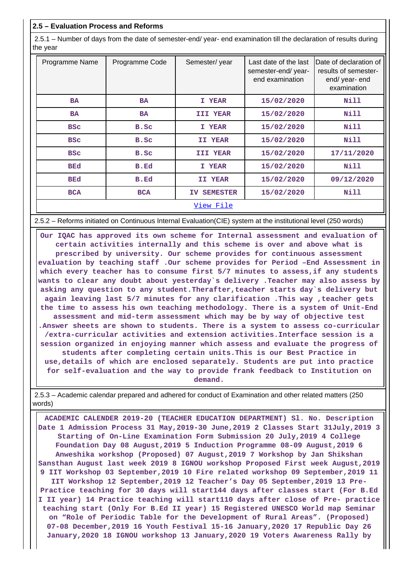#### **2.5 – Evaluation Process and Reforms**

 2.5.1 – Number of days from the date of semester-end/ year- end examination till the declaration of results during the year

| Programme Name | Programme Code | Semester/year          | Last date of the last<br>semester-end/year-<br>end examination | Date of declaration of<br>results of semester-<br>end/ year- end<br>examination |
|----------------|----------------|------------------------|----------------------------------------------------------------|---------------------------------------------------------------------------------|
| <b>BA</b>      | <b>BA</b>      | I YEAR                 | 15/02/2020                                                     | Nill                                                                            |
| <b>BA</b>      | <b>BA</b>      | <b>III YEAR</b>        | 15/02/2020                                                     | Nill                                                                            |
| <b>BSC</b>     | B.Sc           | I YEAR                 | 15/02/2020                                                     | Nill                                                                            |
| <b>BSC</b>     | B.Sc           | II YEAR                | 15/02/2020                                                     | Nill                                                                            |
| <b>BSC</b>     | B.Sc           | III YEAR               | 15/02/2020                                                     | 17/11/2020                                                                      |
| <b>BEd</b>     | B.Ed           | I YEAR                 | 15/02/2020                                                     | Nill                                                                            |
| <b>BEd</b>     | B.Ed           | II YEAR                | 15/02/2020                                                     | 09/12/2020                                                                      |
| <b>BCA</b>     | <b>BCA</b>     | <b>SEMESTER</b><br>IV. | 15/02/2020                                                     | Nill                                                                            |
|                |                | View File              |                                                                |                                                                                 |

2.5.2 – Reforms initiated on Continuous Internal Evaluation(CIE) system at the institutional level (250 words)

 **Our IQAC has approved its own scheme for Internal assessment and evaluation of certain activities internally and this scheme is over and above what is prescribed by university. Our scheme provides for continuous assessment evaluation by teaching staff .Our scheme provides for Period –End Assessment in which every teacher has to consume first 5/7 minutes to assess,if any students wants to clear any doubt about yesterday`s delivery .Teacher may also assess by asking any question to any student.Therafter,teacher starts day`s delivery but again leaving last 5/7 minutes for any clarification .This way ,teacher gets the time to assess his own teaching methodology. There is a system of Unit-End assessment and mid-term assessment which may be by way of objective test .Answer sheets are shown to students. There is a system to assess co-curricular /extra-curricular activities and extension activities.Interface session is a session organized in enjoying manner which assess and evaluate the progress of students after completing certain units.This is our Best Practice in use,details of which are enclosed separately. Students are put into practice for self-evaluation and the way to provide frank feedback to Institution on demand.**

 2.5.3 – Academic calendar prepared and adhered for conduct of Examination and other related matters (250 words)

 **ACADEMIC CALENDER 2019-20 (TEACHER EDUCATION DEPARTMENT) Sl. No. Description Date 1 Admission Process 31 May,2019-30 June,2019 2 Classes Start 31July,2019 3 Starting of On-Line Examination Form Submission 20 July,2019 4 College Foundation Day 08 August,2019 5 Induction Programme 08-09 August,2019 6 Anweshika workshop (Proposed) 07 August,2019 7 Workshop by Jan Shikshan Sansthan August last week 2019 8 IGNOU workshop Proposed First week August,2019 9 IIT Workshop 03 September,2019 10 Fire related workshop 09 September,2019 11 IIT Workshop 12 September,2019 12 Teacher's Day 05 September,2019 13 Pre-Practice teaching for 30 days will start144 days after classes start (For B.Ed I II year) 14 Practice teaching will start110 days after close of Pre- practice teaching start (Only For B.Ed II year) 15 Registered UNESCO World map Seminar on "Role of Periodic Table for the Development of Rural Areas". (Proposed) 07-08 December,2019 16 Youth Festival 15-16 January,2020 17 Republic Day 26 January,2020 18 IGNOU workshop 13 January,2020 19 Voters Awareness Rally by**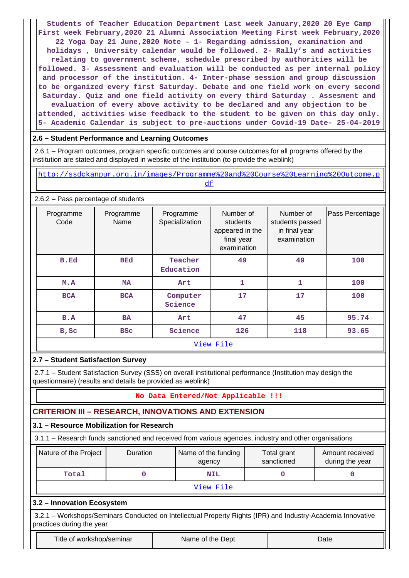**Students of Teacher Education Department Last week January,2020 20 Eye Camp First week February,2020 21 Alumni Association Meeting First week February,2020 22 Yoga Day 21 June,2020 Note – 1- Regarding admission, examination and holidays , University calendar would be followed. 2- Rally's and activities relating to government scheme, schedule prescribed by authorities will be followed. 3- Assessment and evaluation will be conducted as per internal policy and processor of the institution. 4- Inter-phase session and group discussion to be organized every first Saturday. Debate and one field work on every second Saturday. Quiz and one field activity on every third Saturday . Assesment and evaluation of every above activity to be declared and any objection to be attended, activities wise feedback to the student to be given on this day only. 5- Academic Calendar is subject to pre-auctions under Covid-19 Date- 25-04-2019**

## **2.6 – Student Performance and Learning Outcomes**

 2.6.1 – Program outcomes, program specific outcomes and course outcomes for all programs offered by the institution are stated and displayed in website of the institution (to provide the weblink)

 http://ssdckanpur.org.in/images/Programme%20and%20Course%20Learning%20Outcome.p df

2.6.2 – Pass percentage of students

| Programme<br>Code | Programme<br>Name | Programme<br>Specialization | Number of<br>students<br>appeared in the<br>final year<br>examination | Number of<br>students passed<br>in final year<br>examination | Pass Percentage |  |  |  |  |  |
|-------------------|-------------------|-----------------------------|-----------------------------------------------------------------------|--------------------------------------------------------------|-----------------|--|--|--|--|--|
| B.Ed              | <b>BEd</b>        | Teacher<br>Education        | 49                                                                    | 49                                                           | 100             |  |  |  |  |  |
| M.A               | <b>MA</b>         | Art                         | 1                                                                     | 1                                                            | 100             |  |  |  |  |  |
| <b>BCA</b>        | <b>BCA</b>        | Computer<br>Science         | 17                                                                    | 17                                                           | 100             |  |  |  |  |  |
| B.A               | <b>BA</b>         | Art                         | 47                                                                    | 45                                                           | 95.74           |  |  |  |  |  |
| B, Sc             | <b>BSC</b>        | Science                     | 126                                                                   | 118                                                          | 93.65           |  |  |  |  |  |
|                   | View File         |                             |                                                                       |                                                              |                 |  |  |  |  |  |

# **2.7 – Student Satisfaction Survey**

 2.7.1 – Student Satisfaction Survey (SSS) on overall institutional performance (Institution may design the questionnaire) (results and details be provided as weblink)

# **No Data Entered/Not Applicable !!!**

# **CRITERION III – RESEARCH, INNOVATIONS AND EXTENSION**

#### **3.1 – Resource Mobilization for Research**

3.1.1 – Research funds sanctioned and received from various agencies, industry and other organisations

| Nature of the Project | <b>Duration</b> | Name of the funding<br>agency | Total grant<br>sanctioned | Amount received<br>during the year |
|-----------------------|-----------------|-------------------------------|---------------------------|------------------------------------|
| Total                 |                 | <b>NIL</b>                    |                           |                                    |
|                       |                 | View File                     |                           |                                    |

**3.2 – Innovation Ecosystem**

 3.2.1 – Workshops/Seminars Conducted on Intellectual Property Rights (IPR) and Industry-Academia Innovative practices during the year

Title of workshop/seminar The Name of the Dept. The Name of the Name of the New York Chate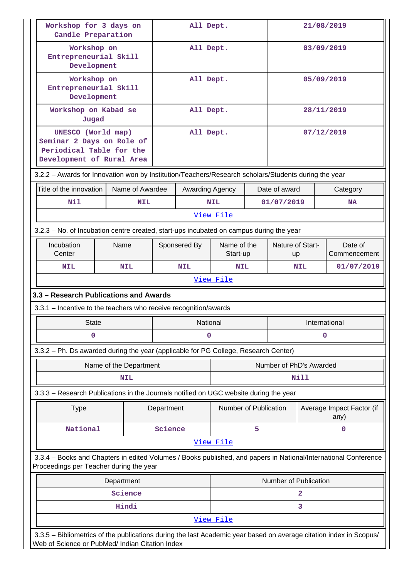| Workshop for 3 days on<br>Candle Preparation                                                                                                                          |                                                                                         |            | All Dept.       |                                                   |   |                         | 21/08/2019              |                                   |  |
|-----------------------------------------------------------------------------------------------------------------------------------------------------------------------|-----------------------------------------------------------------------------------------|------------|-----------------|---------------------------------------------------|---|-------------------------|-------------------------|-----------------------------------|--|
| Workshop on<br>Entrepreneurial Skill<br>Development                                                                                                                   |                                                                                         |            | All Dept.       |                                                   |   |                         | 03/09/2019              |                                   |  |
| Workshop on<br>Entrepreneurial Skill<br>Development                                                                                                                   |                                                                                         | All Dept.  |                 |                                                   |   | 05/09/2019              |                         |                                   |  |
| Workshop on Kabad se<br>Jugad                                                                                                                                         |                                                                                         |            | All Dept.       |                                                   |   |                         | 28/11/2019              |                                   |  |
| UNESCO (World map)<br>Seminar 2 Days on Role of<br>Periodical Table for the<br>Development of Rural Area                                                              |                                                                                         |            | All Dept.       |                                                   |   |                         | 07/12/2019              |                                   |  |
| 3.2.2 - Awards for Innovation won by Institution/Teachers/Research scholars/Students during the year                                                                  |                                                                                         |            |                 |                                                   |   |                         |                         |                                   |  |
| Title of the innovation                                                                                                                                               | Name of Awardee                                                                         |            | Awarding Agency |                                                   |   | Date of award           |                         | Category                          |  |
| Nil                                                                                                                                                                   | <b>NIL</b>                                                                              |            |                 | <b>NIL</b>                                        |   | 01/07/2019              |                         | <b>NA</b>                         |  |
|                                                                                                                                                                       |                                                                                         |            |                 | View File                                         |   |                         |                         |                                   |  |
|                                                                                                                                                                       | 3.2.3 – No. of Incubation centre created, start-ups incubated on campus during the year |            |                 |                                                   |   |                         |                         |                                   |  |
| Incubation<br>Center                                                                                                                                                  | Name                                                                                    |            | Sponsered By    | Name of the<br>Nature of Start-<br>Start-up<br>up |   |                         | Date of<br>Commencement |                                   |  |
| <b>NIL</b>                                                                                                                                                            | <b>NIL</b>                                                                              |            | <b>NIL</b>      | <b>NIL</b>                                        |   |                         | NIL                     | 01/07/2019                        |  |
|                                                                                                                                                                       |                                                                                         |            |                 | View File                                         |   |                         |                         |                                   |  |
|                                                                                                                                                                       | 3.3 - Research Publications and Awards                                                  |            |                 |                                                   |   |                         |                         |                                   |  |
| 3.3.1 - Incentive to the teachers who receive recognition/awards                                                                                                      |                                                                                         |            |                 |                                                   |   |                         |                         |                                   |  |
| <b>State</b>                                                                                                                                                          |                                                                                         |            | National        |                                                   |   |                         | International           |                                   |  |
| 0                                                                                                                                                                     |                                                                                         |            | 0               |                                                   |   | 0                       |                         |                                   |  |
| 3.3.2 - Ph. Ds awarded during the year (applicable for PG College, Research Center)                                                                                   |                                                                                         |            |                 |                                                   |   |                         |                         |                                   |  |
|                                                                                                                                                                       | Name of the Department                                                                  |            |                 |                                                   |   | Number of PhD's Awarded |                         |                                   |  |
|                                                                                                                                                                       | <b>NIL</b>                                                                              |            |                 |                                                   |   |                         | Nill                    |                                   |  |
| 3.3.3 - Research Publications in the Journals notified on UGC website during the year                                                                                 |                                                                                         |            |                 |                                                   |   |                         |                         |                                   |  |
| <b>Type</b>                                                                                                                                                           |                                                                                         | Department |                 | Number of Publication                             |   |                         |                         | Average Impact Factor (if<br>any) |  |
| National                                                                                                                                                              |                                                                                         | Science    |                 |                                                   | 5 |                         |                         | $\mathbf 0$                       |  |
|                                                                                                                                                                       |                                                                                         |            |                 | View File                                         |   |                         |                         |                                   |  |
| 3.3.4 - Books and Chapters in edited Volumes / Books published, and papers in National/International Conference<br>Proceedings per Teacher during the year            |                                                                                         |            |                 |                                                   |   |                         |                         |                                   |  |
|                                                                                                                                                                       | Department                                                                              |            |                 |                                                   |   | Number of Publication   |                         |                                   |  |
|                                                                                                                                                                       | Science                                                                                 |            |                 |                                                   |   |                         | $\mathbf{2}$            |                                   |  |
|                                                                                                                                                                       | Hindi                                                                                   |            |                 |                                                   |   |                         | 3                       |                                   |  |
|                                                                                                                                                                       | View File                                                                               |            |                 |                                                   |   |                         |                         |                                   |  |
| 3.3.5 - Bibliometrics of the publications during the last Academic year based on average citation index in Scopus/<br>Web of Science or PubMed/ Indian Citation Index |                                                                                         |            |                 |                                                   |   |                         |                         |                                   |  |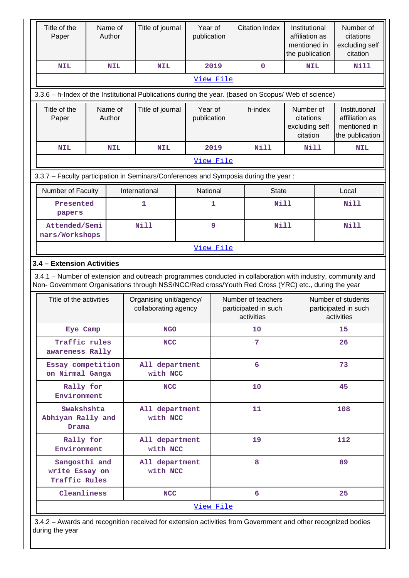| Title of the<br>Paper                                                                                |  | Name of<br>Author | Title of journal                                | Year of<br>publication |                                                          | <b>Citation Index</b>                                                                                                                                                                                              | Institutional<br>affiliation as<br>mentioned in<br>the publication |                                                          | Number of<br>citations<br>excluding self<br>citation               |  |  |
|------------------------------------------------------------------------------------------------------|--|-------------------|-------------------------------------------------|------------------------|----------------------------------------------------------|--------------------------------------------------------------------------------------------------------------------------------------------------------------------------------------------------------------------|--------------------------------------------------------------------|----------------------------------------------------------|--------------------------------------------------------------------|--|--|
| <b>NIL</b>                                                                                           |  | <b>NIL</b>        | <b>NIL</b>                                      |                        | 2019                                                     | $\mathbf 0$                                                                                                                                                                                                        | <b>NIL</b>                                                         |                                                          | Nill                                                               |  |  |
|                                                                                                      |  |                   |                                                 |                        | View File                                                |                                                                                                                                                                                                                    |                                                                    |                                                          |                                                                    |  |  |
| 3.3.6 - h-Index of the Institutional Publications during the year. (based on Scopus/ Web of science) |  |                   |                                                 |                        |                                                          |                                                                                                                                                                                                                    |                                                                    |                                                          |                                                                    |  |  |
| Title of the<br>Paper                                                                                |  | Name of<br>Author | Title of journal                                | Year of<br>publication |                                                          | h-index                                                                                                                                                                                                            | Number of<br>citations<br>excluding self<br>citation               |                                                          | Institutional<br>affiliation as<br>mentioned in<br>the publication |  |  |
| <b>NIL</b>                                                                                           |  | <b>NIL</b>        | <b>NIL</b>                                      |                        | 2019                                                     | <b>Nill</b>                                                                                                                                                                                                        | <b>Nill</b>                                                        |                                                          | <b>NIL</b>                                                         |  |  |
|                                                                                                      |  |                   |                                                 |                        | View File                                                |                                                                                                                                                                                                                    |                                                                    |                                                          |                                                                    |  |  |
|                                                                                                      |  |                   |                                                 |                        |                                                          | 3.3.7 - Faculty participation in Seminars/Conferences and Symposia during the year:                                                                                                                                |                                                                    |                                                          |                                                                    |  |  |
| Number of Faculty                                                                                    |  |                   | International                                   | National               |                                                          | <b>State</b>                                                                                                                                                                                                       |                                                                    |                                                          | Local                                                              |  |  |
| Presented<br>papers                                                                                  |  |                   | 1                                               |                        | $\mathbf{1}$                                             | Nill                                                                                                                                                                                                               |                                                                    |                                                          | <b>Nill</b>                                                        |  |  |
| Attended/Semi<br>nars/Workshops                                                                      |  |                   | <b>Nill</b>                                     |                        | 9                                                        | <b>Nill</b>                                                                                                                                                                                                        |                                                                    | <b>Nill</b>                                              |                                                                    |  |  |
| View File                                                                                            |  |                   |                                                 |                        |                                                          |                                                                                                                                                                                                                    |                                                                    |                                                          |                                                                    |  |  |
| 3.4 - Extension Activities                                                                           |  |                   |                                                 |                        |                                                          |                                                                                                                                                                                                                    |                                                                    |                                                          |                                                                    |  |  |
|                                                                                                      |  |                   |                                                 |                        |                                                          | 3.4.1 – Number of extension and outreach programmes conducted in collaboration with industry, community and<br>Non- Government Organisations through NSS/NCC/Red cross/Youth Red Cross (YRC) etc., during the year |                                                                    |                                                          |                                                                    |  |  |
| Title of the activities                                                                              |  |                   | Organising unit/agency/<br>collaborating agency |                        | Number of teachers<br>participated in such<br>activities |                                                                                                                                                                                                                    |                                                                    | Number of students<br>participated in such<br>activities |                                                                    |  |  |
| Eye Camp                                                                                             |  |                   | <b>NGO</b>                                      |                        |                                                          | 10                                                                                                                                                                                                                 |                                                                    |                                                          | 15                                                                 |  |  |
| Traffic rules<br>awareness Rally                                                                     |  |                   | <b>NCC</b>                                      |                        |                                                          | 7                                                                                                                                                                                                                  |                                                                    |                                                          | 26                                                                 |  |  |
| Essay competition<br>on Nirmal Ganga                                                                 |  |                   | All department<br>with NCC                      |                        |                                                          | 6                                                                                                                                                                                                                  |                                                                    | 73                                                       |                                                                    |  |  |
| Rally for<br>Environment                                                                             |  |                   | <b>NCC</b>                                      |                        |                                                          | 10                                                                                                                                                                                                                 |                                                                    |                                                          | 45                                                                 |  |  |
| Swakshshta<br>Abhiyan Rally and<br>Drama                                                             |  |                   | All department<br>with NCC                      |                        |                                                          | 11                                                                                                                                                                                                                 |                                                                    | 108                                                      |                                                                    |  |  |
| Rally for<br>Environment                                                                             |  |                   | All department<br>with NCC                      |                        |                                                          | 19                                                                                                                                                                                                                 |                                                                    |                                                          | 112                                                                |  |  |
| Sangosthi and<br>write Essay on<br>Traffic Rules                                                     |  |                   | All department<br>with NCC                      |                        | 8                                                        |                                                                                                                                                                                                                    |                                                                    | 89                                                       |                                                                    |  |  |
| Cleanliness                                                                                          |  |                   | <b>NCC</b>                                      |                        |                                                          | 6                                                                                                                                                                                                                  |                                                                    |                                                          | 25                                                                 |  |  |
| View File                                                                                            |  |                   |                                                 |                        |                                                          |                                                                                                                                                                                                                    |                                                                    |                                                          |                                                                    |  |  |

 3.4.2 – Awards and recognition received for extension activities from Government and other recognized bodies during the year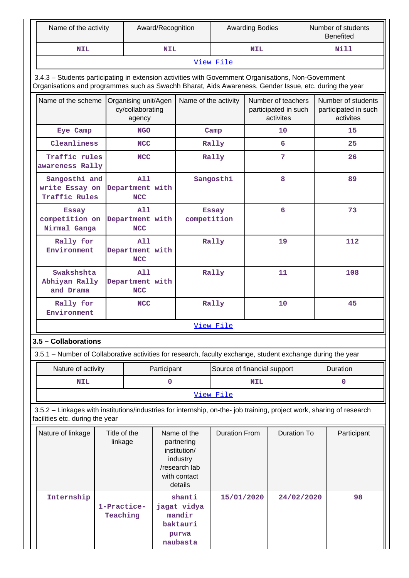| Name of the activity                                                                                                                                                                                           |                                                                          |                                             | Award/Recognition |                                                                                                   |                             | <b>Awarding Bodies</b>                                  |                    |            | Number of students<br><b>Benefited</b>                  |  |
|----------------------------------------------------------------------------------------------------------------------------------------------------------------------------------------------------------------|--------------------------------------------------------------------------|---------------------------------------------|-------------------|---------------------------------------------------------------------------------------------------|-----------------------------|---------------------------------------------------------|--------------------|------------|---------------------------------------------------------|--|
| <b>NIL</b>                                                                                                                                                                                                     |                                                                          |                                             | <b>NIL</b>        |                                                                                                   |                             | <b>NIL</b>                                              |                    |            | Nill                                                    |  |
|                                                                                                                                                                                                                |                                                                          |                                             |                   |                                                                                                   | View File                   |                                                         |                    |            |                                                         |  |
| 3.4.3 - Students participating in extension activities with Government Organisations, Non-Government<br>Organisations and programmes such as Swachh Bharat, Aids Awareness, Gender Issue, etc. during the year |                                                                          |                                             |                   |                                                                                                   |                             |                                                         |                    |            |                                                         |  |
|                                                                                                                                                                                                                | Name of the scheme<br>Organising unit/Agen<br>cy/collaborating<br>agency |                                             |                   | Name of the activity                                                                              |                             | Number of teachers<br>participated in such<br>activites |                    |            | Number of students<br>participated in such<br>activites |  |
| Eye Camp                                                                                                                                                                                                       |                                                                          | <b>NGO</b>                                  |                   |                                                                                                   | Camp                        |                                                         | 10                 |            | 15                                                      |  |
| Cleanliness                                                                                                                                                                                                    |                                                                          | <b>NCC</b>                                  |                   |                                                                                                   | Rally                       |                                                         | 6                  |            | 25                                                      |  |
| Traffic rules<br>awareness Rally                                                                                                                                                                               |                                                                          | <b>NCC</b>                                  |                   |                                                                                                   | Rally                       |                                                         | 7                  |            | 26                                                      |  |
| Sangosthi and<br>write Essay on<br>Traffic Rules                                                                                                                                                               |                                                                          | A11<br>Department with<br><b>NCC</b>        |                   |                                                                                                   | Sangosthi                   |                                                         | 8                  |            | 89                                                      |  |
| <b>Essay</b><br>competition on<br>Nirmal Ganga                                                                                                                                                                 |                                                                          | All<br>Department with<br><b>NCC</b>        |                   | competition                                                                                       | <b>Essay</b>                |                                                         | 6                  |            | 73                                                      |  |
| Rally for<br>Environment                                                                                                                                                                                       |                                                                          | <b>A11</b><br>Department with<br><b>NCC</b> |                   |                                                                                                   | Rally                       | 19                                                      |                    |            | 112                                                     |  |
| Swakshshta<br>Abhiyan Rally<br>and Drama                                                                                                                                                                       | <b>A11</b><br>Department with<br><b>NCC</b>                              |                                             |                   |                                                                                                   | Rally                       |                                                         | 11                 |            | 108                                                     |  |
| Rally for<br>Environment                                                                                                                                                                                       |                                                                          | <b>NCC</b>                                  |                   |                                                                                                   | Rally                       |                                                         | 10                 |            | 45                                                      |  |
|                                                                                                                                                                                                                |                                                                          |                                             |                   |                                                                                                   | View File                   |                                                         |                    |            |                                                         |  |
| 3.5 - Collaborations                                                                                                                                                                                           |                                                                          |                                             |                   |                                                                                                   |                             |                                                         |                    |            |                                                         |  |
| 3.5.1 – Number of Collaborative activities for research, faculty exchange, student exchange during the year                                                                                                    |                                                                          |                                             |                   |                                                                                                   |                             |                                                         |                    |            |                                                         |  |
| Nature of activity                                                                                                                                                                                             |                                                                          |                                             | Participant       |                                                                                                   | Source of financial support |                                                         |                    |            | Duration                                                |  |
| <b>NIL</b>                                                                                                                                                                                                     |                                                                          |                                             | 0                 |                                                                                                   |                             | <b>NIL</b>                                              |                    |            | $\mathbf 0$                                             |  |
|                                                                                                                                                                                                                |                                                                          |                                             |                   |                                                                                                   | View File                   |                                                         |                    |            |                                                         |  |
| 3.5.2 - Linkages with institutions/industries for internship, on-the- job training, project work, sharing of research<br>facilities etc. during the year                                                       |                                                                          |                                             |                   |                                                                                                   |                             |                                                         |                    |            |                                                         |  |
| Nature of linkage                                                                                                                                                                                              | Title of the<br>linkage                                                  |                                             |                   | Name of the<br>partnering<br>institution/<br>industry<br>/research lab<br>with contact<br>details | <b>Duration From</b>        |                                                         | <b>Duration To</b> |            | Participant                                             |  |
| Internship                                                                                                                                                                                                     | 1-Practice-<br>Teaching                                                  |                                             |                   | shanti<br>jagat vidya<br>mandir<br>baktauri<br>purwa<br>naubasta                                  | 15/01/2020                  |                                                         |                    | 24/02/2020 | 98                                                      |  |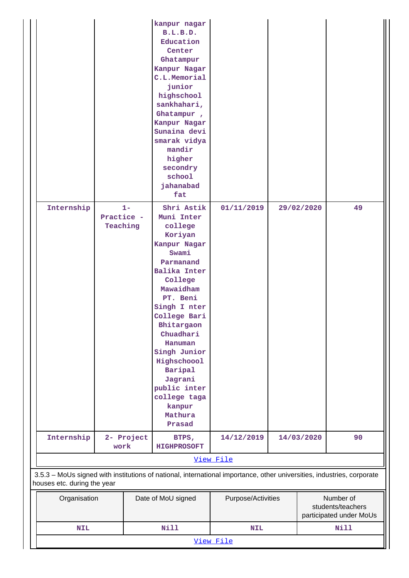| Internship                                                                                                             | Practice -<br>Teaching | $1 -$      | kanpur nagar<br>B.L.B.D.<br>Education<br>Center<br>Ghatampur<br>Kanpur Nagar<br>C.L.Memorial<br>junior<br>highschool<br>sankhahari,<br>Ghatampur,<br>Kanpur Nagar<br>Sunaina devi<br>smarak vidya<br>mandir<br>higher<br>secondry<br>school<br>jahanabad<br>fat<br>Shri Astik<br>Muni Inter<br>college<br>Koriyan<br>Kanpur Nagar<br>Swami<br>Parmanand<br>Balika Inter<br>College<br>Mawaidham<br>PT. Beni<br>Singh I nter<br>College Bari<br>Bhitargaon<br>Chuadhari<br>Hanuman<br>Singh Junior<br>Highschoool<br>Baripal<br>Jagrani<br>public inter<br>college taga | 01/11/2019         |  | 29/02/2020 | 49                                                        |  |
|------------------------------------------------------------------------------------------------------------------------|------------------------|------------|------------------------------------------------------------------------------------------------------------------------------------------------------------------------------------------------------------------------------------------------------------------------------------------------------------------------------------------------------------------------------------------------------------------------------------------------------------------------------------------------------------------------------------------------------------------------|--------------------|--|------------|-----------------------------------------------------------|--|
|                                                                                                                        |                        |            | kanpur<br>Mathura<br>Prasad                                                                                                                                                                                                                                                                                                                                                                                                                                                                                                                                            |                    |  |            |                                                           |  |
| Internship                                                                                                             | work                   | 2- Project | BTPS,<br><b>HIGHPROSOFT</b>                                                                                                                                                                                                                                                                                                                                                                                                                                                                                                                                            | 14/12/2019         |  | 14/03/2020 | 90                                                        |  |
| 3.5.3 - MoUs signed with institutions of national, international importance, other universities, industries, corporate |                        |            |                                                                                                                                                                                                                                                                                                                                                                                                                                                                                                                                                                        | View File          |  |            |                                                           |  |
| houses etc. during the year                                                                                            |                        |            |                                                                                                                                                                                                                                                                                                                                                                                                                                                                                                                                                                        |                    |  |            |                                                           |  |
|                                                                                                                        | Organisation           |            | Date of MoU signed                                                                                                                                                                                                                                                                                                                                                                                                                                                                                                                                                     | Purpose/Activities |  |            | Number of<br>students/teachers<br>participated under MoUs |  |
| <b>NIL</b>                                                                                                             |                        |            | <b>Nill</b><br><b>Nill</b><br><b>NIL</b><br>View File                                                                                                                                                                                                                                                                                                                                                                                                                                                                                                                  |                    |  |            |                                                           |  |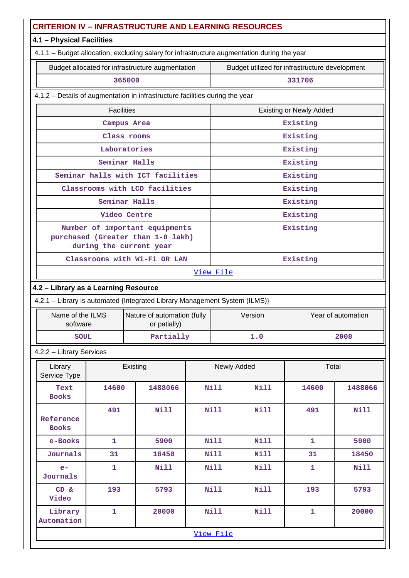| 4.1 - Physical Facilities<br>4.1.1 - Budget allocation, excluding salary for infrastructure augmentation during the year<br>Budget allocated for infrastructure augmentation<br>Budget utilized for infrastructure development<br>365000<br>331706<br>4.1.2 - Details of augmentation in infrastructure facilities during the year<br><b>Facilities</b><br><b>Existing or Newly Added</b><br>Existing<br>Campus Area<br>Existing<br>Class rooms<br>Laboratories<br>Existing<br>Seminar Halls<br>Existing<br>Seminar halls with ICT facilities<br>Existing<br>Classrooms with LCD facilities<br>Existing<br>Seminar Halls<br>Existing<br>Video Centre<br>Existing<br>Number of important equipments<br>Existing<br>purchased (Greater than 1-0 lakh)<br>during the current year<br>Classrooms with Wi-Fi OR LAN<br>Existing<br>View File<br>4.2 - Library as a Learning Resource<br>4.2.1 - Library is automated {Integrated Library Management System (ILMS)}<br>Year of automation<br>Name of the ILMS<br>Nature of automation (fully<br>Version<br>software<br>or patially)<br>Partially<br>1.0<br>2008<br><b>SOUL</b><br>4.2.2 - Library Services<br>Newly Added<br>Total<br>Library<br>Existing<br>Service Type<br>Nill<br>1488066<br>14600<br>1488066<br><b>Nill</b><br>14600<br>Text<br><b>Books</b><br><b>Nill</b><br><b>Nill</b><br><b>Nill</b><br>491<br>Nill<br>491<br>Reference<br><b>Books</b><br>5900<br><b>Nill</b><br>Nill<br>e-Books<br>$\mathbf{1}$<br>$\mathbf{1}$<br>5900<br>Journals<br>31<br>18450<br>Nill<br>Nill<br>18450<br>31<br>$\mathbf{1}$<br><b>Nill</b><br>Nill<br>Nill<br><b>Nill</b><br>$e-$<br>1<br>Journals<br><b>Nill</b><br>Nill<br>CD &<br>193<br>5793<br>193<br>5793<br>Video<br><b>Nill</b><br>Nill<br>Library<br>$\mathbf{1}$<br>20000<br>$\mathbf{1}$<br>20000<br>Automation<br>View File | <b>CRITERION IV - INFRASTRUCTURE AND LEARNING RESOURCES</b> |  |  |  |  |  |  |  |  |  |  |
|------------------------------------------------------------------------------------------------------------------------------------------------------------------------------------------------------------------------------------------------------------------------------------------------------------------------------------------------------------------------------------------------------------------------------------------------------------------------------------------------------------------------------------------------------------------------------------------------------------------------------------------------------------------------------------------------------------------------------------------------------------------------------------------------------------------------------------------------------------------------------------------------------------------------------------------------------------------------------------------------------------------------------------------------------------------------------------------------------------------------------------------------------------------------------------------------------------------------------------------------------------------------------------------------------------------------------------------------------------------------------------------------------------------------------------------------------------------------------------------------------------------------------------------------------------------------------------------------------------------------------------------------------------------------------------------------------------------------------------------------------------------------------------------------------------------------------------|-------------------------------------------------------------|--|--|--|--|--|--|--|--|--|--|
|                                                                                                                                                                                                                                                                                                                                                                                                                                                                                                                                                                                                                                                                                                                                                                                                                                                                                                                                                                                                                                                                                                                                                                                                                                                                                                                                                                                                                                                                                                                                                                                                                                                                                                                                                                                                                                    |                                                             |  |  |  |  |  |  |  |  |  |  |
|                                                                                                                                                                                                                                                                                                                                                                                                                                                                                                                                                                                                                                                                                                                                                                                                                                                                                                                                                                                                                                                                                                                                                                                                                                                                                                                                                                                                                                                                                                                                                                                                                                                                                                                                                                                                                                    |                                                             |  |  |  |  |  |  |  |  |  |  |
|                                                                                                                                                                                                                                                                                                                                                                                                                                                                                                                                                                                                                                                                                                                                                                                                                                                                                                                                                                                                                                                                                                                                                                                                                                                                                                                                                                                                                                                                                                                                                                                                                                                                                                                                                                                                                                    |                                                             |  |  |  |  |  |  |  |  |  |  |
|                                                                                                                                                                                                                                                                                                                                                                                                                                                                                                                                                                                                                                                                                                                                                                                                                                                                                                                                                                                                                                                                                                                                                                                                                                                                                                                                                                                                                                                                                                                                                                                                                                                                                                                                                                                                                                    |                                                             |  |  |  |  |  |  |  |  |  |  |
|                                                                                                                                                                                                                                                                                                                                                                                                                                                                                                                                                                                                                                                                                                                                                                                                                                                                                                                                                                                                                                                                                                                                                                                                                                                                                                                                                                                                                                                                                                                                                                                                                                                                                                                                                                                                                                    |                                                             |  |  |  |  |  |  |  |  |  |  |
|                                                                                                                                                                                                                                                                                                                                                                                                                                                                                                                                                                                                                                                                                                                                                                                                                                                                                                                                                                                                                                                                                                                                                                                                                                                                                                                                                                                                                                                                                                                                                                                                                                                                                                                                                                                                                                    |                                                             |  |  |  |  |  |  |  |  |  |  |
|                                                                                                                                                                                                                                                                                                                                                                                                                                                                                                                                                                                                                                                                                                                                                                                                                                                                                                                                                                                                                                                                                                                                                                                                                                                                                                                                                                                                                                                                                                                                                                                                                                                                                                                                                                                                                                    |                                                             |  |  |  |  |  |  |  |  |  |  |
|                                                                                                                                                                                                                                                                                                                                                                                                                                                                                                                                                                                                                                                                                                                                                                                                                                                                                                                                                                                                                                                                                                                                                                                                                                                                                                                                                                                                                                                                                                                                                                                                                                                                                                                                                                                                                                    |                                                             |  |  |  |  |  |  |  |  |  |  |
|                                                                                                                                                                                                                                                                                                                                                                                                                                                                                                                                                                                                                                                                                                                                                                                                                                                                                                                                                                                                                                                                                                                                                                                                                                                                                                                                                                                                                                                                                                                                                                                                                                                                                                                                                                                                                                    |                                                             |  |  |  |  |  |  |  |  |  |  |
|                                                                                                                                                                                                                                                                                                                                                                                                                                                                                                                                                                                                                                                                                                                                                                                                                                                                                                                                                                                                                                                                                                                                                                                                                                                                                                                                                                                                                                                                                                                                                                                                                                                                                                                                                                                                                                    |                                                             |  |  |  |  |  |  |  |  |  |  |
|                                                                                                                                                                                                                                                                                                                                                                                                                                                                                                                                                                                                                                                                                                                                                                                                                                                                                                                                                                                                                                                                                                                                                                                                                                                                                                                                                                                                                                                                                                                                                                                                                                                                                                                                                                                                                                    |                                                             |  |  |  |  |  |  |  |  |  |  |
|                                                                                                                                                                                                                                                                                                                                                                                                                                                                                                                                                                                                                                                                                                                                                                                                                                                                                                                                                                                                                                                                                                                                                                                                                                                                                                                                                                                                                                                                                                                                                                                                                                                                                                                                                                                                                                    |                                                             |  |  |  |  |  |  |  |  |  |  |
|                                                                                                                                                                                                                                                                                                                                                                                                                                                                                                                                                                                                                                                                                                                                                                                                                                                                                                                                                                                                                                                                                                                                                                                                                                                                                                                                                                                                                                                                                                                                                                                                                                                                                                                                                                                                                                    |                                                             |  |  |  |  |  |  |  |  |  |  |
|                                                                                                                                                                                                                                                                                                                                                                                                                                                                                                                                                                                                                                                                                                                                                                                                                                                                                                                                                                                                                                                                                                                                                                                                                                                                                                                                                                                                                                                                                                                                                                                                                                                                                                                                                                                                                                    |                                                             |  |  |  |  |  |  |  |  |  |  |
|                                                                                                                                                                                                                                                                                                                                                                                                                                                                                                                                                                                                                                                                                                                                                                                                                                                                                                                                                                                                                                                                                                                                                                                                                                                                                                                                                                                                                                                                                                                                                                                                                                                                                                                                                                                                                                    |                                                             |  |  |  |  |  |  |  |  |  |  |
|                                                                                                                                                                                                                                                                                                                                                                                                                                                                                                                                                                                                                                                                                                                                                                                                                                                                                                                                                                                                                                                                                                                                                                                                                                                                                                                                                                                                                                                                                                                                                                                                                                                                                                                                                                                                                                    |                                                             |  |  |  |  |  |  |  |  |  |  |
|                                                                                                                                                                                                                                                                                                                                                                                                                                                                                                                                                                                                                                                                                                                                                                                                                                                                                                                                                                                                                                                                                                                                                                                                                                                                                                                                                                                                                                                                                                                                                                                                                                                                                                                                                                                                                                    |                                                             |  |  |  |  |  |  |  |  |  |  |
|                                                                                                                                                                                                                                                                                                                                                                                                                                                                                                                                                                                                                                                                                                                                                                                                                                                                                                                                                                                                                                                                                                                                                                                                                                                                                                                                                                                                                                                                                                                                                                                                                                                                                                                                                                                                                                    |                                                             |  |  |  |  |  |  |  |  |  |  |
|                                                                                                                                                                                                                                                                                                                                                                                                                                                                                                                                                                                                                                                                                                                                                                                                                                                                                                                                                                                                                                                                                                                                                                                                                                                                                                                                                                                                                                                                                                                                                                                                                                                                                                                                                                                                                                    |                                                             |  |  |  |  |  |  |  |  |  |  |
|                                                                                                                                                                                                                                                                                                                                                                                                                                                                                                                                                                                                                                                                                                                                                                                                                                                                                                                                                                                                                                                                                                                                                                                                                                                                                                                                                                                                                                                                                                                                                                                                                                                                                                                                                                                                                                    |                                                             |  |  |  |  |  |  |  |  |  |  |
|                                                                                                                                                                                                                                                                                                                                                                                                                                                                                                                                                                                                                                                                                                                                                                                                                                                                                                                                                                                                                                                                                                                                                                                                                                                                                                                                                                                                                                                                                                                                                                                                                                                                                                                                                                                                                                    |                                                             |  |  |  |  |  |  |  |  |  |  |
|                                                                                                                                                                                                                                                                                                                                                                                                                                                                                                                                                                                                                                                                                                                                                                                                                                                                                                                                                                                                                                                                                                                                                                                                                                                                                                                                                                                                                                                                                                                                                                                                                                                                                                                                                                                                                                    |                                                             |  |  |  |  |  |  |  |  |  |  |
|                                                                                                                                                                                                                                                                                                                                                                                                                                                                                                                                                                                                                                                                                                                                                                                                                                                                                                                                                                                                                                                                                                                                                                                                                                                                                                                                                                                                                                                                                                                                                                                                                                                                                                                                                                                                                                    |                                                             |  |  |  |  |  |  |  |  |  |  |
|                                                                                                                                                                                                                                                                                                                                                                                                                                                                                                                                                                                                                                                                                                                                                                                                                                                                                                                                                                                                                                                                                                                                                                                                                                                                                                                                                                                                                                                                                                                                                                                                                                                                                                                                                                                                                                    |                                                             |  |  |  |  |  |  |  |  |  |  |
|                                                                                                                                                                                                                                                                                                                                                                                                                                                                                                                                                                                                                                                                                                                                                                                                                                                                                                                                                                                                                                                                                                                                                                                                                                                                                                                                                                                                                                                                                                                                                                                                                                                                                                                                                                                                                                    |                                                             |  |  |  |  |  |  |  |  |  |  |
|                                                                                                                                                                                                                                                                                                                                                                                                                                                                                                                                                                                                                                                                                                                                                                                                                                                                                                                                                                                                                                                                                                                                                                                                                                                                                                                                                                                                                                                                                                                                                                                                                                                                                                                                                                                                                                    |                                                             |  |  |  |  |  |  |  |  |  |  |
|                                                                                                                                                                                                                                                                                                                                                                                                                                                                                                                                                                                                                                                                                                                                                                                                                                                                                                                                                                                                                                                                                                                                                                                                                                                                                                                                                                                                                                                                                                                                                                                                                                                                                                                                                                                                                                    |                                                             |  |  |  |  |  |  |  |  |  |  |
|                                                                                                                                                                                                                                                                                                                                                                                                                                                                                                                                                                                                                                                                                                                                                                                                                                                                                                                                                                                                                                                                                                                                                                                                                                                                                                                                                                                                                                                                                                                                                                                                                                                                                                                                                                                                                                    |                                                             |  |  |  |  |  |  |  |  |  |  |
|                                                                                                                                                                                                                                                                                                                                                                                                                                                                                                                                                                                                                                                                                                                                                                                                                                                                                                                                                                                                                                                                                                                                                                                                                                                                                                                                                                                                                                                                                                                                                                                                                                                                                                                                                                                                                                    |                                                             |  |  |  |  |  |  |  |  |  |  |
|                                                                                                                                                                                                                                                                                                                                                                                                                                                                                                                                                                                                                                                                                                                                                                                                                                                                                                                                                                                                                                                                                                                                                                                                                                                                                                                                                                                                                                                                                                                                                                                                                                                                                                                                                                                                                                    |                                                             |  |  |  |  |  |  |  |  |  |  |
|                                                                                                                                                                                                                                                                                                                                                                                                                                                                                                                                                                                                                                                                                                                                                                                                                                                                                                                                                                                                                                                                                                                                                                                                                                                                                                                                                                                                                                                                                                                                                                                                                                                                                                                                                                                                                                    |                                                             |  |  |  |  |  |  |  |  |  |  |
|                                                                                                                                                                                                                                                                                                                                                                                                                                                                                                                                                                                                                                                                                                                                                                                                                                                                                                                                                                                                                                                                                                                                                                                                                                                                                                                                                                                                                                                                                                                                                                                                                                                                                                                                                                                                                                    |                                                             |  |  |  |  |  |  |  |  |  |  |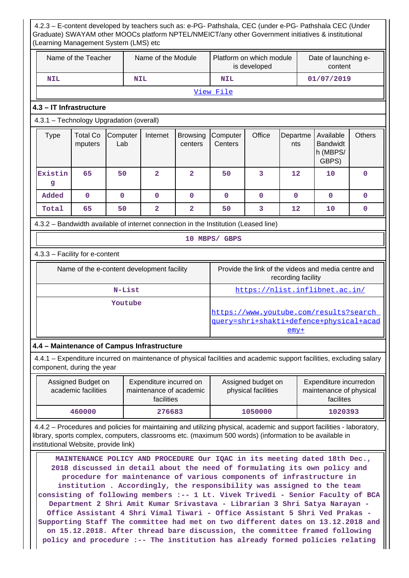4.2.3 – E-content developed by teachers such as: e-PG- Pathshala, CEC (under e-PG- Pathshala CEC (Under Graduate) SWAYAM other MOOCs platform NPTEL/NMEICT/any other Government initiatives & institutional (Learning Management System (LMS) etc Name of the Teacher  $\parallel$  Name of the Module Platform on which module is developed Date of launching econtent  **NIL NIL NIL 01/07/2019** View File **4.3 – IT Infrastructure** 4.3.1 – Technology Upgradation (overall)  $Type \mid Total Co$ mputers **Computer** Lab Internet Browsing centers **Computer Centers** Office Departme nts Available Bandwidt h (MBPS/ GBPS) **Others Existin g 65 50 2 2 50 3 12 10 0 Added 0 0 0 0 0 0 0 0 0 Total 65 50 2 2 50 3 12 10 0** 4.3.2 – Bandwidth available of internet connection in the Institution (Leased line) **10 MBPS/ GBPS** 4.3.3 – Facility for e-content Name of the e-content development facility Frovide the link of the videos and media centre and recording facility  **N-List** https://nlist.inflibnet.ac.in/  **Youtube** https://www.youtube.com/results?search\_ query=shri+shakti+defence+physical+acad emy+ **4.4 – Maintenance of Campus Infrastructure** 4.4.1 – Expenditure incurred on maintenance of physical facilities and academic support facilities, excluding salary component, during the year Assigned Budget on academic facilities Expenditure incurred on maintenance of academic facilities Assigned budget on physical facilities Expenditure incurredon maintenance of physical facilites  **460000 276683 1050000 1020393** 4.4.2 – Procedures and policies for maintaining and utilizing physical, academic and support facilities - laboratory, library, sports complex, computers, classrooms etc. (maximum 500 words) (information to be available in institutional Website, provide link) **MAINTENANCE POLICY AND PROCEDURE Our IQAC in its meeting dated 18th Dec.,**

**2018 discussed in detail about the need of formulating its own policy and procedure for maintenance of various components of infrastructure in institution . Accordingly, the responsibility was assigned to the team consisting of following members :-- 1 Lt. Vivek Trivedi - Senior Faculty of BCA Department 2 Shri Amit Kumar Srivastava - Librarian 3 Shri Satya Narayan - Office Assistant 4 Shri Vimal Tiwari - Office Assistant 5 Shri Ved Prakas - Supporting Staff The committee had met on two different dates on 13.12.2018 and on 15.12.2018. After thread bare discussion, the committee framed following policy and procedure :-- The institution has already formed policies relating**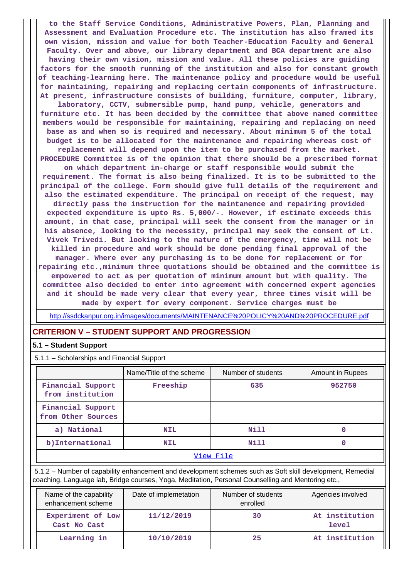**to the Staff Service Conditions, Administrative Powers, Plan, Planning and Assessment and Evaluation Procedure etc. The institution has also framed its own vision, mission and value for both Teacher-Education Faculty and General Faculty. Over and above, our library department and BCA department are also having their own vision, mission and value. All these policies are guiding factors for the smooth running of the institution and also for constant growth of teaching-learning here. The maintenance policy and procedure would be useful for maintaining, repairing and replacing certain components of infrastructure. At present, infrastructure consists of building, furniture, computer, library, laboratory, CCTV, submersible pump, hand pump, vehicle, generators and furniture etc. It has been decided by the committee that above named committee members would be responsible for maintaining, repairing and replacing on need base as and when so is required and necessary. About minimum 5 of the total budget is to be allocated for the maintenance and repairing whereas cost of replacement will depend upon the item to be purchased from the market. PROCEDURE Committee is of the opinion that there should be a prescribed format on which department in-charge or staff responsible would submit the requirement. The format is also being finalized. It is to be submitted to the principal of the college. Form should give full details of the requirement and also the estimated expenditure. The principal on receipt of the request, may directly pass the instruction for the maintanence and repairing provided expected expenditure is upto Rs. 5,000/-. However, if estimate exceeds this amount, in that case, principal will seek the consent from the manager or in his absence, looking to the necessity, principal may seek the consent of Lt. Vivek Trivedi. But looking to the nature of the emergency, time will not be killed in procedure and work should be done pending final approval of the manager. Where ever any purchasing is to be done for replacement or for repairing etc.,minimum three quotations should be obtained and the committee is empowered to act as per quotation of minimum amount but with quality. The committee also decided to enter into agreement with concerned expert agencies and it should be made very clear that every year, three times visit will be**

**made by expert for every component. Service charges must be**

http://ssdckanpur.org.in/images/documents/MAINTENANCE%20POLICY%20AND%20PROCEDURE.pdf

#### **CRITERION V – STUDENT SUPPORT AND PROGRESSION**

#### **5.1 – Student Support**

| 5.1.1 - Scholarships and Financial Support |                          |                    |                  |  |  |  |  |  |
|--------------------------------------------|--------------------------|--------------------|------------------|--|--|--|--|--|
|                                            | Name/Title of the scheme | Number of students | Amount in Rupees |  |  |  |  |  |
| Financial Support<br>from institution      | Freeship                 | 635                | 952750           |  |  |  |  |  |
| Financial Support<br>from Other Sources    |                          |                    |                  |  |  |  |  |  |
| a) National                                | <b>NIL</b>               | Nill               |                  |  |  |  |  |  |
| b) International                           | <b>NIL</b>               | Nill               |                  |  |  |  |  |  |
| View File                                  |                          |                    |                  |  |  |  |  |  |

 5.1.2 – Number of capability enhancement and development schemes such as Soft skill development, Remedial coaching, Language lab, Bridge courses, Yoga, Meditation, Personal Counselling and Mentoring etc.,

| Name of the capability<br>enhancement scheme | Date of implemetation | Number of students<br>enrolled | Agencies involved       |
|----------------------------------------------|-----------------------|--------------------------------|-------------------------|
| Experiment of Low<br>Cast No Cast            | 11/12/2019            | 30                             | At institution<br>level |
| Learning in                                  | 10/10/2019            | 25                             | At institution          |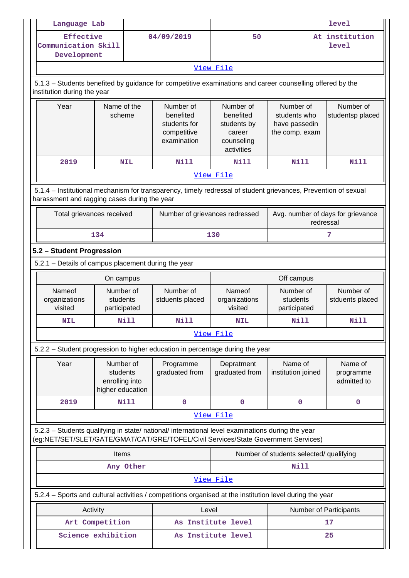| Language Lab                                                                                                                                                                           |                                                             |             |                                                                      |                                                                                  |                                                              |             | <b>level</b>                        |  |
|----------------------------------------------------------------------------------------------------------------------------------------------------------------------------------------|-------------------------------------------------------------|-------------|----------------------------------------------------------------------|----------------------------------------------------------------------------------|--------------------------------------------------------------|-------------|-------------------------------------|--|
| Effective<br>Communication Skill<br>Development                                                                                                                                        |                                                             |             | 04/09/2019                                                           | 50                                                                               |                                                              |             | At institution<br><b>level</b>      |  |
|                                                                                                                                                                                        |                                                             |             |                                                                      | View File                                                                        |                                                              |             |                                     |  |
| 5.1.3 - Students benefited by guidance for competitive examinations and career counselling offered by the<br>institution during the year                                               |                                                             |             |                                                                      |                                                                                  |                                                              |             |                                     |  |
| Year                                                                                                                                                                                   | Name of the<br>scheme                                       |             | Number of<br>benefited<br>students for<br>competitive<br>examination | Number of<br>benefited<br>students by<br>career<br>counseling<br>activities      | Number of<br>students who<br>have passedin<br>the comp. exam |             | Number of<br>studentsp placed       |  |
| 2019                                                                                                                                                                                   |                                                             | <b>NIL</b>  | <b>Nill</b>                                                          | Nill                                                                             |                                                              | <b>Nill</b> | <b>Nill</b>                         |  |
|                                                                                                                                                                                        |                                                             |             |                                                                      | View File                                                                        |                                                              |             |                                     |  |
| 5.1.4 – Institutional mechanism for transparency, timely redressal of student grievances, Prevention of sexual<br>harassment and ragging cases during the year                         |                                                             |             |                                                                      |                                                                                  |                                                              |             |                                     |  |
| Total grievances received                                                                                                                                                              |                                                             |             |                                                                      | Avg. number of days for grievance<br>Number of grievances redressed<br>redressal |                                                              |             |                                     |  |
|                                                                                                                                                                                        | 134                                                         |             |                                                                      | 130                                                                              |                                                              |             | 7                                   |  |
| 5.2 - Student Progression                                                                                                                                                              |                                                             |             |                                                                      |                                                                                  |                                                              |             |                                     |  |
| 5.2.1 - Details of campus placement during the year                                                                                                                                    |                                                             |             |                                                                      |                                                                                  |                                                              |             |                                     |  |
|                                                                                                                                                                                        | On campus                                                   |             |                                                                      |                                                                                  | Off campus                                                   |             |                                     |  |
| Nameof<br>Number of<br>organizations<br>students<br>visited<br>participated                                                                                                            |                                                             |             | Number of<br>stduents placed                                         | Nameof<br>organizations<br>visited                                               | Number of<br>students<br>participated                        |             | Number of<br>stduents placed        |  |
| <b>NIL</b>                                                                                                                                                                             |                                                             | Nill        | Nill                                                                 | NIL                                                                              |                                                              | Nill        | Nill                                |  |
|                                                                                                                                                                                        |                                                             |             |                                                                      | View File                                                                        |                                                              |             |                                     |  |
| 5.2.2 - Student progression to higher education in percentage during the year                                                                                                          |                                                             |             |                                                                      |                                                                                  |                                                              |             |                                     |  |
| Year                                                                                                                                                                                   | Number of<br>students<br>enrolling into<br>higher education |             | Programme<br>graduated from                                          | Depratment<br>graduated from                                                     | Name of<br>institution joined                                |             | Name of<br>programme<br>admitted to |  |
| 2019                                                                                                                                                                                   |                                                             | <b>Nill</b> | $\mathbf 0$                                                          | $\mathbf 0$                                                                      |                                                              | 0           | $\mathbf 0$                         |  |
|                                                                                                                                                                                        |                                                             |             |                                                                      | View File                                                                        |                                                              |             |                                     |  |
| 5.2.3 - Students qualifying in state/ national/ international level examinations during the year<br>(eg:NET/SET/SLET/GATE/GMAT/CAT/GRE/TOFEL/Civil Services/State Government Services) |                                                             |             |                                                                      |                                                                                  |                                                              |             |                                     |  |
|                                                                                                                                                                                        | Items                                                       |             |                                                                      | Number of students selected/ qualifying                                          |                                                              |             |                                     |  |
|                                                                                                                                                                                        |                                                             | Any Other   |                                                                      |                                                                                  |                                                              | Nill        |                                     |  |
|                                                                                                                                                                                        |                                                             |             |                                                                      | View File                                                                        |                                                              |             |                                     |  |
| 5.2.4 - Sports and cultural activities / competitions organised at the institution level during the year                                                                               |                                                             |             |                                                                      |                                                                                  |                                                              |             |                                     |  |
| Activity                                                                                                                                                                               |                                                             |             | Level                                                                |                                                                                  | Number of Participants                                       |             |                                     |  |
| Art Competition                                                                                                                                                                        |                                                             |             |                                                                      | As Institute level                                                               |                                                              | 17          |                                     |  |
| Science exhibition                                                                                                                                                                     |                                                             |             |                                                                      | As Institute level                                                               |                                                              |             | 25                                  |  |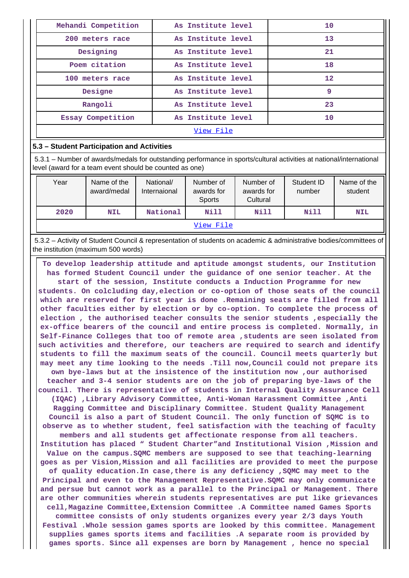| Mehandi Competition | As Institute level | 10 |  |  |  |  |
|---------------------|--------------------|----|--|--|--|--|
| 200 meters race     | As Institute level | 13 |  |  |  |  |
| Designing           | As Institute level | 21 |  |  |  |  |
| Poem citation       | As Institute level | 18 |  |  |  |  |
| 100 meters race     | As Institute level | 12 |  |  |  |  |
| Designe             | As Institute level | 9  |  |  |  |  |
| Rangoli             | As Institute level | 23 |  |  |  |  |
| Essay Competition   | As Institute level | 10 |  |  |  |  |
| View File           |                    |    |  |  |  |  |

#### **5.3 – Student Participation and Activities**

 5.3.1 – Number of awards/medals for outstanding performance in sports/cultural activities at national/international level (award for a team event should be counted as one)

| Year      | Name of the<br>award/medal | National/<br>Internaional | Number of<br>awards for<br>Sports | Number of<br>awards for<br>Cultural | Student ID<br>number | Name of the<br>student |  |  |
|-----------|----------------------------|---------------------------|-----------------------------------|-------------------------------------|----------------------|------------------------|--|--|
| 2020      | <b>NIL</b>                 | National                  | Nill                              | Nill                                | Nill                 | <b>NIL</b>             |  |  |
| View File |                            |                           |                                   |                                     |                      |                        |  |  |

 5.3.2 – Activity of Student Council & representation of students on academic & administrative bodies/committees of the institution (maximum 500 words)

 **To develop leadership attitude and aptitude amongst students, our Institution has formed Student Council under the guidance of one senior teacher. At the start of the session, Institute conducts a Induction Programme for new students. On colcluding day,election or co-option of those seats of the council which are reserved for first year is done .Remaining seats are filled from all other faculties either by election or by co-option. To complete the process of election , the authorised teacher consults the senior students ,especially the ex-office bearers of the council and entire process is completed. Normally, in Self-Finance Colleges that too of remote area ,students are seen isolated from such activities and therefore, our teachers are required to search and identify students to fill the maximum seats of the council. Council meets quarterly but may meet any time looking to the needs .Till now,Council could not prepare its own bye-laws but at the insistence of the institution now ,our authorised teacher and 3-4 senior students are on the job of preparing bye-laws of the council. There is representative of students in Internal Quality Assurance Cell (IQAC) ,Library Advisory Committee, Anti-Woman Harassment Committee ,Anti Ragging Committee and Disciplinary Committee. Student Quality Management Council is also a part of Student Council. The only function of SQMC is to observe as to whether student, feel satisfaction with the teaching of faculty members and all students get affectionate response from all teachers. Institution has placed " Student Charter"and Institutional Vision ,Mission and Value on the campus.SQMC members are supposed to see that teaching-learning goes as per Vision,Mission and all facilities are provided to meet the purpose of quality education.In case,there is any deficiency ,SQMC may meet to the Principal and even to the Management Representative.SQMC may only communicate and persue but cannot work as a parallel to the Principal or Management. There are other communities wherein students representatives are put like grievances cell,Magazine Committee,Extension Committee .A Committee named Games Sports committee consists of only students organizes every year 2/3 days Youth Festival .Whole session games sports are looked by this committee. Management supplies games sports items and facilities .A separate room is provided by games sports. Since all expenses are born by Management , hence no special**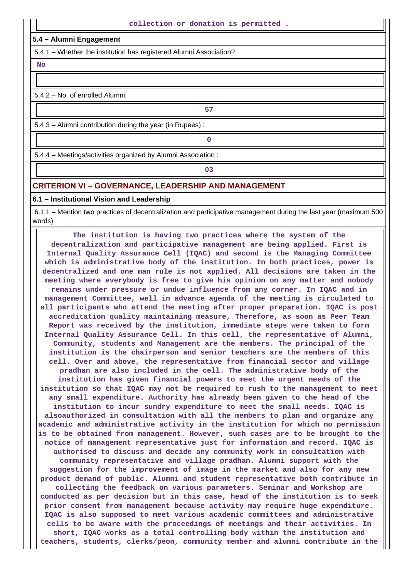#### **5.4 – Alumni Engagement**

5.4.1 – Whether the institution has registered Alumni Association?

 **No**

5.4.2 – No. of enrolled Alumni:

5.4.3 – Alumni contribution during the year (in Rupees) :

**0**

**57**

5.4.4 – Meetings/activities organized by Alumni Association :

**03**

#### **CRITERION VI – GOVERNANCE, LEADERSHIP AND MANAGEMENT**

#### **6.1 – Institutional Vision and Leadership**

 6.1.1 – Mention two practices of decentralization and participative management during the last year (maximum 500 words)

 **The institution is having two practices where the system of the decentralization and participative management are being applied. First is Internal Quality Assurance Cell (IQAC) and second is the Managing Committee which is administrative body of the institution. In both practices, power is decentralized and one man rule is not applied. All decisions are taken in the meeting where everybody is free to give his opinion on any matter and nobody remains under pressure or undue influence from any corner. In IQAC and in management Committee, well in advance agenda of the meeting is circulated to all participants who attend the meeting after proper preparation. IQAC is post accreditation quality maintaining measure, Therefore, as soon as Peer Team Report was received by the institution, immediate steps were taken to form Internal Quality Assurance Cell. In this cell, the representative of Alumni, Community, students and Management are the members. The principal of the institution is the chairperson and senior teachers are the members of this cell. Over and above, the representative from financial sector and village pradhan are also included in the cell. The administrative body of the institution has given financial powers to meet the urgent needs of the institution so that IQAC may not be required to rush to the management to meet any small expenditure. Authority has already been given to the head of the institution to incur sundry expenditure to meet the small needs. IQAC is alsoauthorized in consultation with all the members to plan and organize any academic and administrative activity in the institution for which no permission is to be obtained from management. However, such cases are to be brought to the notice of management representative just for information and record. IQAC is authorised to discuss and decide any community work in consultation with community representative and village pradhan. Alumni support with the suggestion for the improvement of image in the market and also for any new product demand of public. Alumni and student representative both contribute in collecting the feedback on various parameters. Seminar and Workshop are conducted as per decision but in this case, head of the institution is to seek prior consent from management because activity may require huge expenditure. IQAC is also supposed to meet various academic committees and administrative cells to be aware with the proceedings of meetings and their activities. In short, IQAC works as a total controlling body within the institution and teachers, students, clerks/peon, community member and alumni contribute in the**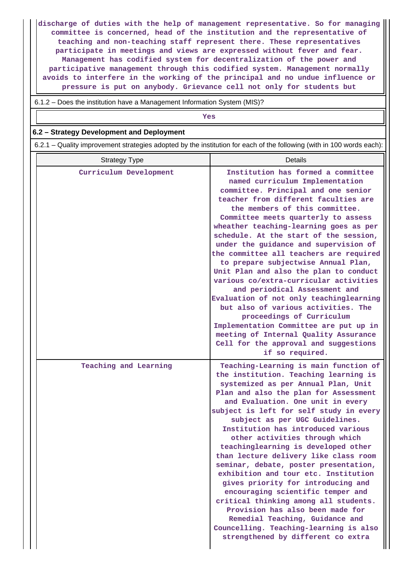**discharge of duties with the help of management representative. So for managing committee is concerned, head of the institution and the representative of teaching and non-teaching staff represent there. These representatives participate in meetings and views are expressed without fever and fear. Management has codified system for decentralization of the power and participative management through this codified system. Management normally avoids to interfere in the working of the principal and no undue influence or pressure is put on anybody. Grievance cell not only for students but**

6.1.2 – Does the institution have a Management Information System (MIS)?

*Yes* 

#### **6.2 – Strategy Development and Deployment**

6.2.1 – Quality improvement strategies adopted by the institution for each of the following (with in 100 words each):

| <b>Strategy Type</b>   | Details                                                                                                                                                                                                                                                                                                                                                                                                                                                                                                                                                                                                                                                                                                                                                                                                                         |
|------------------------|---------------------------------------------------------------------------------------------------------------------------------------------------------------------------------------------------------------------------------------------------------------------------------------------------------------------------------------------------------------------------------------------------------------------------------------------------------------------------------------------------------------------------------------------------------------------------------------------------------------------------------------------------------------------------------------------------------------------------------------------------------------------------------------------------------------------------------|
| Curriculum Development | Institution has formed a committee<br>named curriculum Implementation<br>committee. Principal and one senior<br>teacher from different faculties are<br>the members of this committee.<br>Committee meets quarterly to assess<br>wheather teaching-learning goes as per<br>schedule. At the start of the session,<br>under the guidance and supervision of<br>the committee all teachers are required<br>to prepare subjectwise Annual Plan,<br>Unit Plan and also the plan to conduct<br>various co/extra-curricular activities<br>and periodical Assessment and<br>Evaluation of not only teachinglearning<br>but also of various activities. The<br>proceedings of Curriculum<br>Implementation Committee are put up in<br>meeting of Internal Quality Assurance<br>Cell for the approval and suggestions<br>if so required. |
| Teaching and Learning  | Teaching-Learning is main function of<br>the institution. Teaching learning is<br>systemized as per Annual Plan, Unit<br>Plan and also the plan for Assessment<br>and Evaluation. One unit in every<br>subject is left for self study in every<br>subject as per UGC Guidelines.<br>Institution has introduced various<br>other activities through which<br>teachinglearning is developed other<br>than lecture delivery like class room<br>seminar, debate, poster presentation,<br>exhibition and tour etc. Institution<br>gives priority for introducing and<br>encouraging scientific temper and<br>critical thinking among all students.<br>Provision has also been made for<br>Remedial Teaching, Guidance and<br>Councelling. Teaching-learning is also<br>strengthened by different co extra                            |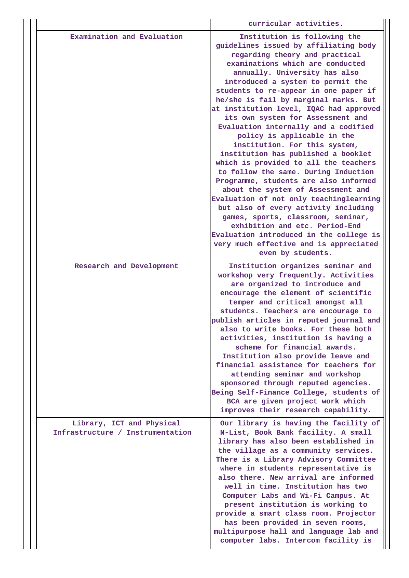|                                                               | curricular activities.                                                                                                                                                                                                                                                                                                                                                                                                                                                                                                                                                                                                                                                                                                                                                                                                                                                                                                                                                  |
|---------------------------------------------------------------|-------------------------------------------------------------------------------------------------------------------------------------------------------------------------------------------------------------------------------------------------------------------------------------------------------------------------------------------------------------------------------------------------------------------------------------------------------------------------------------------------------------------------------------------------------------------------------------------------------------------------------------------------------------------------------------------------------------------------------------------------------------------------------------------------------------------------------------------------------------------------------------------------------------------------------------------------------------------------|
| Examination and Evaluation                                    | Institution is following the<br>guidelines issued by affiliating body<br>regarding theory and practical<br>examinations which are conducted<br>annually. University has also<br>introduced a system to permit the<br>students to re-appear in one paper if<br>he/she is fail by marginal marks. But<br>at institution level, IQAC had approved<br>its own system for Assessment and<br>Evaluation internally and a codified<br>policy is applicable in the<br>institution. For this system,<br>institution has published a booklet<br>which is provided to all the teachers<br>to follow the same. During Induction<br>Programme, students are also informed<br>about the system of Assessment and<br>Evaluation of not only teachinglearning<br>but also of every activity including<br>games, sports, classroom, seminar,<br>exhibition and etc. Period-End<br>Evaluation introduced in the college is<br>very much effective and is appreciated<br>even by students. |
| Research and Development                                      | Institution organizes seminar and<br>workshop very frequently. Activities<br>are organized to introduce and<br>encourage the element of scientific<br>temper and critical amongst all<br>students. Teachers are encourage to<br>publish articles in reputed journal and<br>also to write books. For these both<br>activities, institution is having a<br>scheme for financial awards.<br>Institution also provide leave and<br>financial assistance for teachers for<br>attending seminar and workshop<br>sponsored through reputed agencies.<br>Being Self-Finance College, students of<br>BCA are given project work which<br>improves their research capability.                                                                                                                                                                                                                                                                                                     |
| Library, ICT and Physical<br>Infrastructure / Instrumentation | Our library is having the facility of<br>N-List, Book Bank facility. A small<br>library has also been established in<br>the village as a community services.<br>There is a Library Advisory Committee<br>where in students representative is<br>also there. New arrival are informed<br>well in time. Institution has two<br>Computer Labs and Wi-Fi Campus. At<br>present institution is working to<br>provide a smart class room. Projector<br>has been provided in seven rooms,<br>multipurpose hall and language lab and<br>computer labs. Intercom facility is                                                                                                                                                                                                                                                                                                                                                                                                     |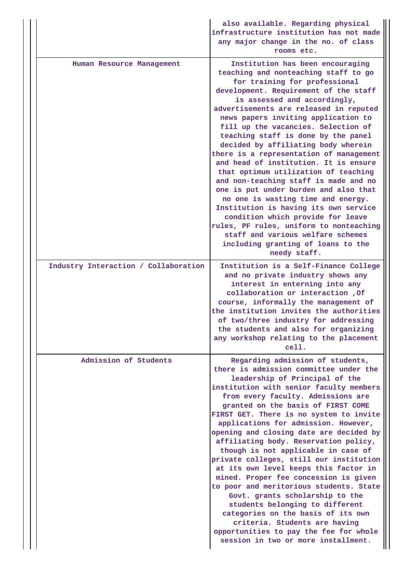|                                      | also available. Regarding physical<br>infrastructure institution has not made<br>any major change in the no. of class<br>rooms etc.                                                                                                                                                                                                                                                                                                                                                                                                                                                                                                                                                                                                                                                                                                                              |
|--------------------------------------|------------------------------------------------------------------------------------------------------------------------------------------------------------------------------------------------------------------------------------------------------------------------------------------------------------------------------------------------------------------------------------------------------------------------------------------------------------------------------------------------------------------------------------------------------------------------------------------------------------------------------------------------------------------------------------------------------------------------------------------------------------------------------------------------------------------------------------------------------------------|
| Human Resource Management            | Institution has been encouraging<br>teaching and nonteaching staff to go<br>for training for professional<br>development. Requirement of the staff<br>is assessed and accordingly,<br>advertisements are released in reputed<br>news papers inviting application to<br>fill up the vacancies. Selection of<br>teaching staff is done by the panel<br>decided by affiliating body wherein<br>there is a representation of management<br>and head of institution. It is ensure<br>that optimum utilization of teaching<br>and non-teaching staff is made and no<br>one is put under burden and also that<br>no one is wasting time and energy.<br>Institution is having its own service<br>condition which provide for leave<br>rules, PF rules, uniform to nonteaching<br>staff and various welfare schemes<br>including granting of loans to the<br>needy staff. |
| Industry Interaction / Collaboration | Institution is a Self-Finance College<br>and no private industry shows any<br>interest in enterning into any<br>collaboration or interaction , Of<br>course, informally the management of<br>the institution invites the authorities<br>of two/three industry for addressing<br>the students and also for organizing<br>any workshop relating to the placement<br>cell.                                                                                                                                                                                                                                                                                                                                                                                                                                                                                          |
| Admission of Students                | Regarding admission of students,<br>there is admission committee under the<br>leadership of Principal of the<br>institution with senior faculty members<br>from every faculty. Admissions are<br>granted on the basis of FIRST COME<br>FIRST GET. There is no system to invite<br>applications for admission. However,<br>opening and closing date are decided by<br>affiliating body. Reservation policy,<br>though is not applicable in case of<br>private colleges, still our institution<br>at its own level keeps this factor in<br>mined. Proper fee concession is given<br>to poor and meritorious students. State<br>Govt. grants scholarship to the<br>students belonging to different<br>categories on the basis of its own<br>criteria. Students are having<br>opportunities to pay the fee for whole<br>session in two or more installment.          |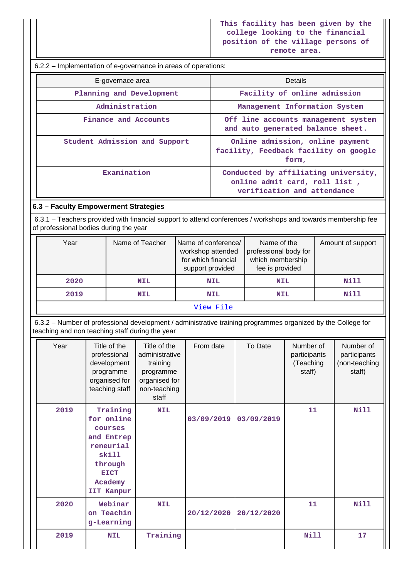|  | 6.2.2 – Implementation of e-governance in areas of operations: |  |
|--|----------------------------------------------------------------|--|
|  |                                                                |  |

| E-governace area              | <b>Details</b>                                                                                       |  |  |
|-------------------------------|------------------------------------------------------------------------------------------------------|--|--|
| Planning and Development      | Facility of online admission                                                                         |  |  |
| Administration                | Management Information System                                                                        |  |  |
| Finance and Accounts          | Off line accounts management system<br>and auto generated balance sheet.                             |  |  |
| Student Admission and Support | Online admission, online payment<br>facility, Feedback facility on google<br>form,                   |  |  |
| Examination                   | Conducted by affiliating university,<br>online admit card, roll list,<br>verification and attendance |  |  |

## **6.3 – Faculty Empowerment Strategies**

 6.3.1 – Teachers provided with financial support to attend conferences / workshops and towards membership fee of professional bodies during the year

| Year      | Name of Teacher | Name of conference/<br>workshop attended<br>for which financial<br>support provided | Name of the<br>professional body for<br>which membership<br>fee is provided | Amount of support |  |  |  |
|-----------|-----------------|-------------------------------------------------------------------------------------|-----------------------------------------------------------------------------|-------------------|--|--|--|
| 2020      | NIL             | <b>NIL</b>                                                                          | <b>NIL</b>                                                                  | Nill              |  |  |  |
| 2019      | NIL             | <b>NIL</b>                                                                          | <b>NIL</b>                                                                  | Nill              |  |  |  |
| View File |                 |                                                                                     |                                                                             |                   |  |  |  |

 6.3.2 – Number of professional development / administrative training programmes organized by the College for teaching and non teaching staff during the year

| Year | Title of the<br>professional<br>development<br>programme<br>organised for<br>teaching staff                              | Title of the<br>administrative<br>training<br>programme<br>organised for<br>non-teaching<br>staff | From date  | To Date    | Number of<br>participants<br>(Teaching<br>staff) | Number of<br>participants<br>(non-teaching<br>staff) |
|------|--------------------------------------------------------------------------------------------------------------------------|---------------------------------------------------------------------------------------------------|------------|------------|--------------------------------------------------|------------------------------------------------------|
| 2019 | Training<br>for online<br>courses<br>and Entrep<br>reneurial<br>skill<br>through<br><b>EICT</b><br>Academy<br>IIT Kanpur | <b>NIL</b>                                                                                        | 03/09/2019 | 03/09/2019 | 11                                               | Nill                                                 |
| 2020 | Webinar<br>on Teachin<br>g-Learning                                                                                      | <b>NIL</b>                                                                                        | 20/12/2020 | 20/12/2020 | 11                                               | <b>Nill</b>                                          |
| 2019 | <b>NIL</b>                                                                                                               | Training                                                                                          |            |            | <b>Nill</b>                                      | 17                                                   |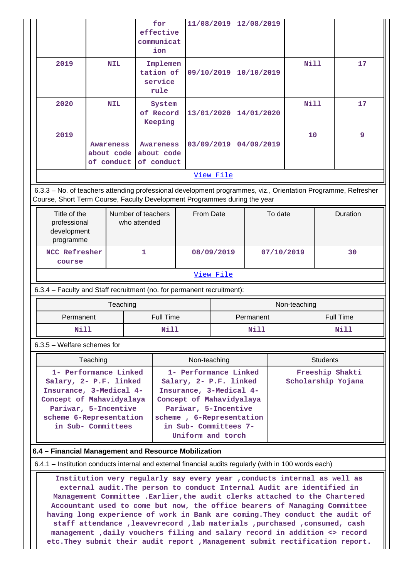|                                                                                                                                                                                                                                                                                                                                                                                                                                      |                                                                                                                                                                                                                                  |                                       | for<br>effective<br>communicat<br>ion        |                                          |              | 11/08/2019 |  | 12/08/2019 |                  |      |                 |    |
|--------------------------------------------------------------------------------------------------------------------------------------------------------------------------------------------------------------------------------------------------------------------------------------------------------------------------------------------------------------------------------------------------------------------------------------|----------------------------------------------------------------------------------------------------------------------------------------------------------------------------------------------------------------------------------|---------------------------------------|----------------------------------------------|------------------------------------------|--------------|------------|--|------------|------------------|------|-----------------|----|
| 2019                                                                                                                                                                                                                                                                                                                                                                                                                                 |                                                                                                                                                                                                                                  | <b>NIL</b>                            |                                              | Implemen<br>tation of<br>service<br>rule | 09/10/2019   |            |  | 10/10/2019 |                  | Nill |                 | 17 |
| 2020                                                                                                                                                                                                                                                                                                                                                                                                                                 |                                                                                                                                                                                                                                  | <b>NIL</b>                            |                                              | System<br>of Record<br>Keeping           | 13/01/2020   |            |  | 14/01/2020 |                  | Nill |                 | 17 |
| 2019                                                                                                                                                                                                                                                                                                                                                                                                                                 |                                                                                                                                                                                                                                  | Awareness<br>about code<br>of conduct | <b>Awareness</b><br>about code<br>of conduct |                                          | 03/09/2019   |            |  | 04/09/2019 |                  | 10   |                 | 9  |
|                                                                                                                                                                                                                                                                                                                                                                                                                                      |                                                                                                                                                                                                                                  |                                       |                                              |                                          |              | View File  |  |            |                  |      |                 |    |
| 6.3.3 - No. of teachers attending professional development programmes, viz., Orientation Programme, Refresher<br>Course, Short Term Course, Faculty Development Programmes during the year                                                                                                                                                                                                                                           |                                                                                                                                                                                                                                  |                                       |                                              |                                          |              |            |  |            |                  |      |                 |    |
| programme                                                                                                                                                                                                                                                                                                                                                                                                                            | Title of the<br>Number of teachers<br>professional<br>who attended<br>development                                                                                                                                                |                                       |                                              | From Date                                |              |            |  | To date    |                  |      | Duration        |    |
| <b>NCC Refresher</b><br>course                                                                                                                                                                                                                                                                                                                                                                                                       |                                                                                                                                                                                                                                  |                                       | 1                                            |                                          | 08/09/2019   |            |  | 07/10/2019 |                  | 30   |                 |    |
|                                                                                                                                                                                                                                                                                                                                                                                                                                      |                                                                                                                                                                                                                                  |                                       |                                              |                                          |              | View File  |  |            |                  |      |                 |    |
| 6.3.4 - Faculty and Staff recruitment (no. for permanent recruitment):                                                                                                                                                                                                                                                                                                                                                               |                                                                                                                                                                                                                                  |                                       |                                              |                                          |              |            |  |            |                  |      |                 |    |
|                                                                                                                                                                                                                                                                                                                                                                                                                                      |                                                                                                                                                                                                                                  | Teaching                              |                                              |                                          |              |            |  |            | Non-teaching     |      |                 |    |
| Permanent                                                                                                                                                                                                                                                                                                                                                                                                                            |                                                                                                                                                                                                                                  |                                       |                                              | <b>Full Time</b>                         |              |            |  | Permanent  | <b>Full Time</b> |      |                 |    |
| Nill                                                                                                                                                                                                                                                                                                                                                                                                                                 |                                                                                                                                                                                                                                  |                                       |                                              | Nill                                     |              | Nill       |  |            | Nill             |      |                 |    |
| $6.3.5$ – Welfare schemes for                                                                                                                                                                                                                                                                                                                                                                                                        |                                                                                                                                                                                                                                  |                                       |                                              |                                          |              |            |  |            |                  |      |                 |    |
|                                                                                                                                                                                                                                                                                                                                                                                                                                      | Teaching                                                                                                                                                                                                                         |                                       |                                              |                                          | Non-teaching |            |  |            |                  |      | <b>Students</b> |    |
| 1- Performance Linked<br>1- Performance Linked<br>Freeship Shakti<br>Salary, 2- P.F. linked<br>Salary, 2- P.F. linked<br>Scholarship Yojana<br>Insurance, 3-Medical 4-<br>Insurance, 3-Medical 4-<br>Concept of Mahavidyalaya<br>Concept of Mahavidyalaya<br>Pariwar, 5-Incentive<br>Pariwar, 5-Incentive<br>scheme 6-Representation<br>scheme, 6-Representation<br>in Sub- Committees<br>in Sub- Committees 7-<br>Uniform and torch |                                                                                                                                                                                                                                  |                                       |                                              |                                          |              |            |  |            |                  |      |                 |    |
| 6.4 - Financial Management and Resource Mobilization                                                                                                                                                                                                                                                                                                                                                                                 |                                                                                                                                                                                                                                  |                                       |                                              |                                          |              |            |  |            |                  |      |                 |    |
| 6.4.1 – Institution conducts internal and external financial audits regularly (with in 100 words each)                                                                                                                                                                                                                                                                                                                               |                                                                                                                                                                                                                                  |                                       |                                              |                                          |              |            |  |            |                  |      |                 |    |
|                                                                                                                                                                                                                                                                                                                                                                                                                                      | Institution very regularly say every year , conducts internal as well as<br>external audit. The person to conduct Internal Audit are identified in<br>Management Committee . Earlier, the audit clerks attached to the Chartered |                                       |                                              |                                          |              |            |  |            |                  |      |                 |    |

**Management Committee .Earlier,the audit clerks attached to the Chartered Accountant used to come but now, the office bearers of Managing Committee having long experience of work in Bank are coming.They conduct the audit of staff attendance ,leavevrecord ,lab materials ,purchased ,consumed, cash management ,daily vouchers filing and salary record in addition <> record etc.They submit their audit report ,Management submit rectification report.**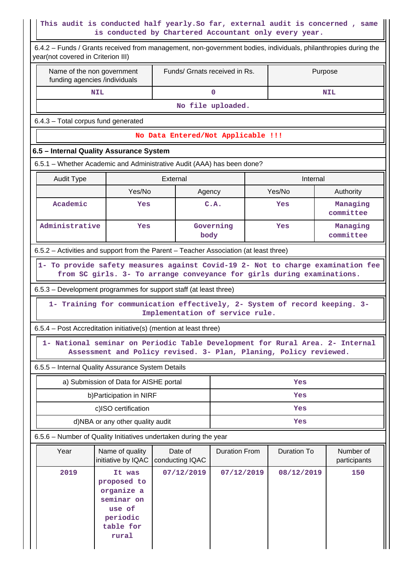# **This audit is conducted half yearly.So far, external audit is concerned , same is conducted by Chartered Accountant only every year.**

Ш

| 6.4.2 - Funds / Grants received from management, non-government bodies, individuals, philanthropies during the<br>year(not covered in Criterion III) |                                                                                               |                                                                                                                                                    |                      |         |             |                           |  |
|------------------------------------------------------------------------------------------------------------------------------------------------------|-----------------------------------------------------------------------------------------------|----------------------------------------------------------------------------------------------------------------------------------------------------|----------------------|---------|-------------|---------------------------|--|
| Name of the non government<br>funding agencies /individuals                                                                                          |                                                                                               | Funds/ Grnats received in Rs.                                                                                                                      |                      | Purpose |             |                           |  |
|                                                                                                                                                      | <b>NIL</b>                                                                                    |                                                                                                                                                    | $\mathbf 0$          |         |             | <b>NIL</b>                |  |
|                                                                                                                                                      |                                                                                               |                                                                                                                                                    | No file uploaded.    |         |             |                           |  |
| 6.4.3 - Total corpus fund generated                                                                                                                  |                                                                                               |                                                                                                                                                    |                      |         |             |                           |  |
|                                                                                                                                                      |                                                                                               | No Data Entered/Not Applicable !!!                                                                                                                 |                      |         |             |                           |  |
| 6.5 - Internal Quality Assurance System                                                                                                              |                                                                                               |                                                                                                                                                    |                      |         |             |                           |  |
| 6.5.1 – Whether Academic and Administrative Audit (AAA) has been done?                                                                               |                                                                                               |                                                                                                                                                    |                      |         |             |                           |  |
| <b>Audit Type</b>                                                                                                                                    |                                                                                               | External                                                                                                                                           |                      |         | Internal    |                           |  |
|                                                                                                                                                      | Yes/No                                                                                        | Agency                                                                                                                                             |                      |         | Yes/No      | Authority                 |  |
| Academic                                                                                                                                             | Yes                                                                                           |                                                                                                                                                    | C.A.                 |         | Yes         | Managing<br>committee     |  |
| Administrative                                                                                                                                       | Yes                                                                                           | body                                                                                                                                               | Governing            |         | Yes         | Managing<br>committee     |  |
| 6.5.2 - Activities and support from the Parent - Teacher Association (at least three)                                                                |                                                                                               |                                                                                                                                                    |                      |         |             |                           |  |
| 1- To provide safety measures against Covid-19 2- Not to charge examination fee                                                                      |                                                                                               | from SC girls. 3- To arrange conveyance for girls during examinations.                                                                             |                      |         |             |                           |  |
| 6.5.3 – Development programmes for support staff (at least three)                                                                                    |                                                                                               |                                                                                                                                                    |                      |         |             |                           |  |
|                                                                                                                                                      |                                                                                               | 1- Training for communication effectively, 2- System of record keeping. 3-<br>Implementation of service rule.                                      |                      |         |             |                           |  |
| 6.5.4 - Post Accreditation initiative(s) (mention at least three)                                                                                    |                                                                                               |                                                                                                                                                    |                      |         |             |                           |  |
|                                                                                                                                                      |                                                                                               | 1- National seminar on Periodic Table Development for Rural Area. 2- Internal<br>Assessment and Policy revised. 3- Plan, Planing, Policy reviewed. |                      |         |             |                           |  |
| 6.5.5 - Internal Quality Assurance System Details                                                                                                    |                                                                                               |                                                                                                                                                    |                      |         |             |                           |  |
|                                                                                                                                                      | a) Submission of Data for AISHE portal                                                        |                                                                                                                                                    |                      |         | Yes         |                           |  |
|                                                                                                                                                      | b) Participation in NIRF                                                                      |                                                                                                                                                    | Yes                  |         |             |                           |  |
|                                                                                                                                                      | c)ISO certification                                                                           |                                                                                                                                                    |                      |         | Yes         |                           |  |
|                                                                                                                                                      | d)NBA or any other quality audit                                                              |                                                                                                                                                    |                      |         | Yes         |                           |  |
| 6.5.6 - Number of Quality Initiatives undertaken during the year                                                                                     |                                                                                               |                                                                                                                                                    |                      |         |             |                           |  |
| Year                                                                                                                                                 | Name of quality<br>initiative by IQAC                                                         | Date of<br>conducting IQAC                                                                                                                         | <b>Duration From</b> |         | Duration To | Number of<br>participants |  |
| 2019                                                                                                                                                 | It was<br>proposed to<br>organize a<br>seminar on<br>use of<br>periodic<br>table for<br>rural | 07/12/2019                                                                                                                                         | 07/12/2019           |         | 08/12/2019  | 150                       |  |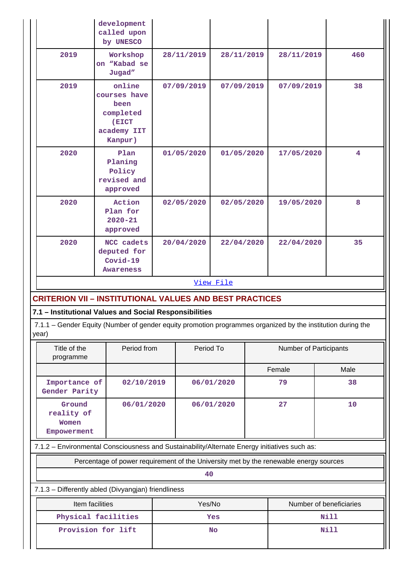|                                                        | development<br>called upon<br>by UNESCO                                                                     |            |            |                        |             |                         |  |
|--------------------------------------------------------|-------------------------------------------------------------------------------------------------------------|------------|------------|------------------------|-------------|-------------------------|--|
| 2019                                                   | Workshop<br>on "Kabad se<br>Jugad"                                                                          | 28/11/2019 | 28/11/2019 |                        | 28/11/2019  | 460                     |  |
| 2019                                                   | online<br>courses have<br>been<br>completed<br>(EICT<br>academy IIT<br>Kanpur)                              | 07/09/2019 | 07/09/2019 |                        | 07/09/2019  | 38                      |  |
| 2020                                                   | Plan<br>Planing<br>Policy<br>revised and<br>approved                                                        | 01/05/2020 | 01/05/2020 |                        | 17/05/2020  | $\overline{\mathbf{4}}$ |  |
| 2020                                                   | Action<br>Plan for<br>$2020 - 21$<br>approved                                                               | 02/05/2020 | 02/05/2020 |                        | 19/05/2020  | 8                       |  |
| 2020                                                   | NCC cadets<br>deputed for<br>$Covid-19$<br>Awareness                                                        | 20/04/2020 | 22/04/2020 |                        | 22/04/2020  | 35                      |  |
|                                                        |                                                                                                             |            | View File  |                        |             |                         |  |
|                                                        | <b>CRITERION VII – INSTITUTIONAL VALUES AND BEST PRACTICES</b>                                              |            |            |                        |             |                         |  |
| 7.1 - Institutional Values and Social Responsibilities |                                                                                                             |            |            |                        |             |                         |  |
| year)                                                  | 7.1.1 - Gender Equity (Number of gender equity promotion programmes organized by the institution during the |            |            |                        |             |                         |  |
| Title of the<br>programme                              | Period from                                                                                                 | Period To  |            | Number of Participants |             |                         |  |
|                                                        |                                                                                                             |            |            |                        | Female      | Male                    |  |
| Importance of<br>Gender Parity                         | 02/10/2019                                                                                                  |            | 06/01/2020 |                        | 79          | 38                      |  |
| Ground<br>reality of<br>Women<br>Empowerment           | 06/01/2020                                                                                                  |            | 06/01/2020 | 27                     |             | 10                      |  |
|                                                        | 7.1.2 - Environmental Consciousness and Sustainability/Alternate Energy initiatives such as:                |            |            |                        |             |                         |  |
|                                                        | Percentage of power requirement of the University met by the renewable energy sources                       |            |            |                        |             |                         |  |
|                                                        |                                                                                                             | 40         |            |                        |             |                         |  |
|                                                        | 7.1.3 - Differently abled (Divyangjan) friendliness                                                         |            |            |                        |             |                         |  |
|                                                        | Item facilities                                                                                             | Yes/No     |            |                        |             | Number of beneficiaries |  |
|                                                        | Physical facilities                                                                                         |            | Yes        |                        |             | Nill                    |  |
| Provision for lift                                     |                                                                                                             |            | <b>No</b>  |                        | <b>Nill</b> |                         |  |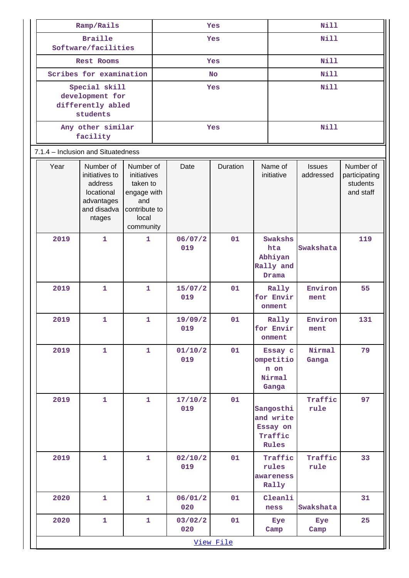| Ramp/Rails |                                                                                             |                                                                                                   | Yes        |                |            | <b>Nill</b> |                                                        |                            |                                                     |
|------------|---------------------------------------------------------------------------------------------|---------------------------------------------------------------------------------------------------|------------|----------------|------------|-------------|--------------------------------------------------------|----------------------------|-----------------------------------------------------|
|            | <b>Braille</b><br>Software/facilities                                                       |                                                                                                   | Yes        |                |            | <b>Nill</b> |                                                        |                            |                                                     |
|            | <b>Rest Rooms</b>                                                                           |                                                                                                   | <b>Yes</b> |                |            | <b>Nill</b> |                                                        |                            |                                                     |
|            | Scribes for examination                                                                     |                                                                                                   |            |                | <b>No</b>  |             |                                                        | <b>Nill</b>                |                                                     |
|            | Special skill<br>development for<br>differently abled<br>students                           |                                                                                                   |            |                | <b>Yes</b> |             | <b>Nill</b>                                            |                            |                                                     |
|            | Any other similar<br>facility                                                               |                                                                                                   |            |                | Yes        |             |                                                        | <b>Nill</b>                |                                                     |
|            | 7.1.4 - Inclusion and Situatedness                                                          |                                                                                                   |            |                |            |             |                                                        |                            |                                                     |
| Year       | Number of<br>initiatives to<br>address<br>locational<br>advantages<br>and disadva<br>ntages | Number of<br>initiatives<br>taken to<br>engage with<br>and<br>contribute to<br>local<br>community |            | Date           | Duration   |             | Name of<br>initiative                                  | <b>Issues</b><br>addressed | Number of<br>participating<br>students<br>and staff |
| 2019       | $\mathbf{1}$                                                                                | $\mathbf{1}$                                                                                      |            | 06/07/2<br>019 | 01         |             | Swakshs<br>hta<br>Abhiyan<br>Rally and<br>Drama        | Swakshata                  | 119                                                 |
| 2019       | 1                                                                                           | $\mathbf{1}$                                                                                      |            | 15/07/2<br>019 | 01         |             | Rally<br>for Envir<br>onment                           | Environ<br>ment            | 55                                                  |
| 2019       | 1                                                                                           | $\mathbf{1}$                                                                                      |            | 19/09/2<br>019 | 01         |             | Rally<br>for Envir<br>onment                           | Environ<br>ment            | 131                                                 |
| 2019       | $\mathbf{1}$                                                                                | $\mathbf{1}$                                                                                      |            | 01/10/2<br>019 | 01         |             | Essay c<br>ompetitio<br>n on<br>Nirmal<br>Ganga        | Nirmal<br>Ganga            | 79                                                  |
| 2019       | $\mathbf{1}$                                                                                | $\mathbf{1}$                                                                                      |            | 17/10/2<br>019 | 01         |             | Sangosthi<br>and write<br>Essay on<br>Traffic<br>Rules | Traffic<br>rule            | 97                                                  |
| 2019       | $\mathbf{1}$                                                                                | $\mathbf{1}$                                                                                      |            | 02/10/2<br>019 | 01         |             | Traffic<br>rules<br>awareness<br>Rally                 | Traffic<br>rule            | 33                                                  |
| 2020       | $\mathbf{1}$                                                                                | $\mathbf{1}$                                                                                      |            | 06/01/2<br>020 | 01         |             | Cleanli<br>ness                                        | Swakshata                  | 31                                                  |
| 2020       | $\mathbf{1}$                                                                                | $\mathbf{1}$                                                                                      |            | 03/02/2<br>020 | 01         |             | Eye<br>Camp                                            | Eye<br>Camp                | 25                                                  |
| View File  |                                                                                             |                                                                                                   |            |                |            |             |                                                        |                            |                                                     |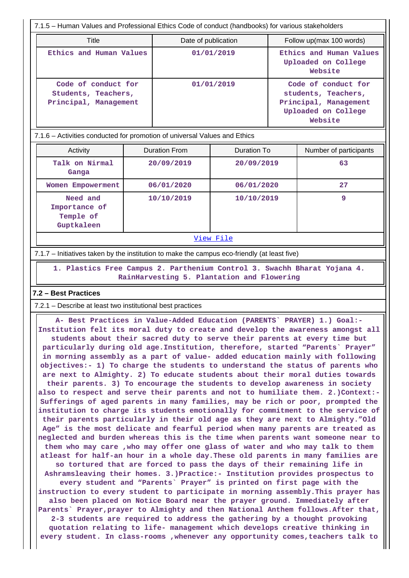| 7.1.5 – Human Values and Professional Ethics Code of conduct (handbooks) for various stakeholders |                     |                                                                                                       |  |  |  |  |  |  |
|---------------------------------------------------------------------------------------------------|---------------------|-------------------------------------------------------------------------------------------------------|--|--|--|--|--|--|
| Title                                                                                             | Date of publication | Follow up(max 100 words)                                                                              |  |  |  |  |  |  |
| Ethics and Human Values                                                                           | 01/01/2019          | Ethics and Human Values<br>Uploaded on College<br>Website                                             |  |  |  |  |  |  |
| Code of conduct for<br>Students, Teachers,<br>Principal, Management                               | 01/01/2019          | Code of conduct for<br>students, Teachers,<br>Principal, Management<br>Uploaded on College<br>Website |  |  |  |  |  |  |

#### 7.1.6 – Activities conducted for promotion of universal Values and Ethics

| Activity                                             | Duration From | Duration To | Number of participants |
|------------------------------------------------------|---------------|-------------|------------------------|
| Talk on Nirmal<br>Ganga                              | 20/09/2019    | 20/09/2019  | 63                     |
| Women Empowerment                                    | 06/01/2020    | 06/01/2020  | 27                     |
| Need and<br>Importance of<br>Temple of<br>Guptkaleen | 10/10/2019    | 10/10/2019  | 9                      |

View File

#### 7.1.7 – Initiatives taken by the institution to make the campus eco-friendly (at least five)

 **1. Plastics Free Campus 2. Parthenium Control 3. Swachh Bharat Yojana 4. RainHarvesting 5. Plantation and Flowering**

#### **7.2 – Best Practices**

7.2.1 – Describe at least two institutional best practices

 **A- Best Practices in Value-Added Education (PARENTS` PRAYER) 1.) Goal:- Institution felt its moral duty to create and develop the awareness amongst all students about their sacred duty to serve their parents at every time but particularly during old age.Institution, therefore, started "Parents` Prayer" in morning assembly as a part of value- added education mainly with following objectives:- 1) To charge the students to understand the status of parents who are next to Almighty. 2) To educate students about their moral duties towards their parents. 3) To encourage the students to develop awareness in society also to respect and serve their parents and not to humiliate them. 2.)Context:- Sufferings of aged parents in many families, may be rich or poor, prompted the institution to charge its students emotionally for commitment to the service of their parents particularly in their old age as they are next to Almighty."Old Age" is the most delicate and fearful period when many parents are treated as neglected and burden whereas this is the time when parents want someone near to them who may care ,who may offer one glass of water and who may talk to them atleast for half-an hour in a whole day.These old parents in many families are so tortured that are forced to pass the days of their remaining life in Ashramsleaving their homes. 3.)Practice:- Institution provides prospectus to every student and "Parents` Prayer" is printed on first page with the instruction to every student to participate in morning assembly.This prayer has also been placed on Notice Board near the prayer ground. Immediately after Parents` Prayer,prayer to Almighty and then National Anthem follows.After that, 2-3 students are required to address the gathering by a thought provoking quotation relating to life- management which develops creative thinking in every student. In class-rooms ,whenever any opportunity comes,teachers talk to**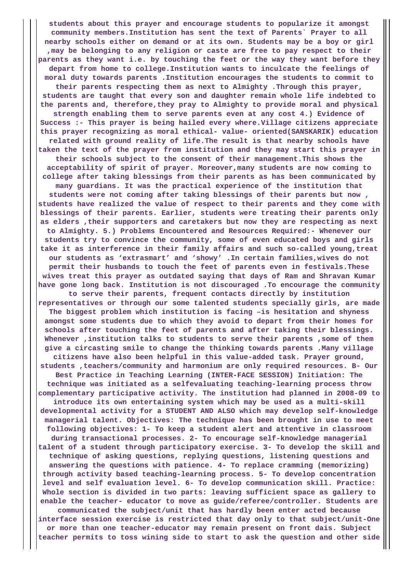**students about this prayer and encourage students to popularize it amongst community members.Institution has sent the text of Parents` Prayer to all nearby schools either on demand or at its own. Students may be a boy or girl ,may be belonging to any religion or caste are free to pay respect to their parents as they want i.e. by touching the feet or the way they want before they depart from home to college.Institution wants to inculcate the feelings of moral duty towards parents .Institution encourages the students to commit to their parents respecting them as next to Almighty .Through this prayer, students are taught that every son and daughter remain whole life indebted to the parents and, therefore,they pray to Almighty to provide moral and physical strength enabling them to serve parents even at any cost 4.) Evidence of Success :- This prayer is being hailed every where.Village citizens appreciate this prayer recognizing as moral ethical- value- oriented(SANSKARIK) education related with ground reality of life.The result is that nearby schools have taken the text of the prayer from institution and they may start this prayer in their schools subject to the consent of their management.This shows the acceptability of spirit of prayer. Moreover,many students are now coming to college after taking blessings from their parents as has been communicated by many guardians. It was the practical experience of the institution that students were not coming after taking blessings of their parents but now , students have realized the value of respect to their parents and they come with blessings of their parents. Earlier, students were treating their parents only as elders ,their supporters and caretakers but now they are respecting as next to Almighty. 5.) Problems Encountered and Resources Required:- Whenever our students try to convince the community, some of even educated boys and girls take it as interference in their family affairs and such so-called young,treat our students as 'extrasmart' and 'showy' .In certain families,wives do not permit their husbands to touch the feet of parents even in festivals.These wives treat this prayer as outdated saying that days of Ram and Shravan Kumar have gone long back. Institution is not discouraged .To encourage the community to serve their parents, frequent contacts directly by institution representatives or through our some talented students specially girls, are made The biggest problem which institution is facing –is hesitation and shyness amongst some students due to which they avoid to depart from their homes for schools after touching the feet of parents and after taking their blessings. Whenever ,institution talks to students to serve their parents ,some of them give a circasting smile to change the thinking towards parents .Many village citizens have also been helpful in this value-added task. Prayer ground, students ,teachers/community and harmonium are only required resources. B- Our Best Practice in Teaching Learning (INTER-FACE SESSION) Initiation: The technique was initiated as a selfevaluating teaching-learning process throw complementary participative activity. The institution had planned in 2008-09 to introduce its own entertaining system which may be used as a multi-skill developmental activity for a STUDENT AND ALSO which may develop self-knowledge managerial talent. Objectives: The technique has been brought in use to meet following objectives: 1- To keep a student alert and attentive in classroom during transactional processes. 2- To encourage self-knowledge managerial talent of a student through participatory exercise. 3- To develop the skill and technique of asking questions, replying questions, listening questions and answering the questions with patience. 4- To replace cramming (memorizing) through activity based teaching-learning process. 5- To develop concentration level and self evaluation level. 6- To develop communication skill. Practice: Whole section is divided in two parts: leaving sufficient space as gallery to enable the teacher- educator to move as guide/referee/controller. Students are communicated the subject/unit that has hardly been enter acted because interface session exercise is restricted that day only to that subject/unit-One or more than one teacher-educator may remain present on front dais. Subject teacher permits to toss wining side to start to ask the question and other side**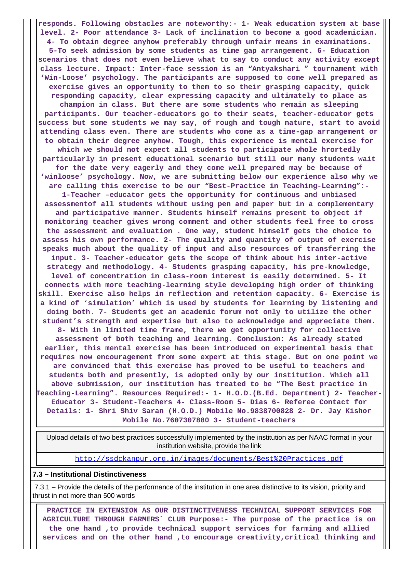**responds. Following obstacles are noteworthy:- 1- Weak education system at base level. 2- Poor attendance 3- Lack of inclination to become a good academician. 4- To obtain degree anyhow preferably through unfair means in examinations. 5-To seek admission by some students as time gap arrangement. 6- Education scenarios that does not even believe what to say to conduct any activity except class lecture. Impact: Inter-face session is an "Antyakshari " tournament with 'Win-Loose' psychology. The participants are supposed to come well prepared as exercise gives an opportunity to them to so their grasping capacity, quick responding capacity, clear expressing capacity and ultimately to place as champion in class. But there are some students who remain as sleeping participants. Our teacher-educators go to their seats, teacher-educator gets success but some students we may say, of rough and tough nature, start to avoid attending class even. There are students who come as a time-gap arrangement or to obtain their degree anyhow. Tough, this experience is mental exercise for which we should not expect all students to participate whole hrortedly particularly in present educational scenario but still our many students wait for the date very eagerly and they come well prepared may be because of 'winloose' psychology. Now, we are submitting below our experience also why we are calling this exercise to be our "Best-Practice in Teaching-Learning":- 1-Teacher –educator gets the opportunity for continuous and unbiased assessmentof all students without using pen and paper but in a complementary and participative manner. Students himself remains present to object if monitoring teacher gives wrong comment and other students feel free to cross the assessment and evaluation . One way, student himself gets the choice to assess his own performance. 2- The quality and quantity of output of exercise speaks much about the quality of input and also resources of transferring the input. 3- Teacher-educator gets the scope of think about his inter-active strategy and methodology. 4- Students grasping capacity, his pre-knowledge, level of concentration in class-room interest is easily determined. 5- It connects with more teaching-learning style developing high order of thinking skill. Exercise also helps in reflection and retention capacity. 6- Exercise is a kind of 'simulation' which is used by students for learning by listening and doing both. 7- Students get an academic forum not only to utilize the other student's strength and expertise but also to acknowledge and appreciate them. 8- With in limited time frame, there we get opportunity for collective assessment of both teaching and learning. Conclusion: As already stated earlier, this mental exercise has been introduced on experimental basis that requires now encouragement from some expert at this stage. But on one point we are convinced that this exercise has proved to be useful to teachers and students both and presently, is adopted only by our institution. Which all above submission, our institution has treated to be "The Best practice in Teaching-Learning". Resources Required:- 1- H.O.D.(B.Ed. Department) 2- Teacher-Educator 3- Student-Teachers 4- Class-Room 5- Dias 6- Referee Contact for Details: 1- Shri Shiv Saran (H.O.D.) Mobile No.9838700828 2- Dr. Jay Kishor Mobile No.7607307880 3- Student-teachers**

 Upload details of two best practices successfully implemented by the institution as per NAAC format in your institution website, provide the link

http://ssdckanpur.org.in/images/documents/Best%20Practices.pdf

#### **7.3 – Institutional Distinctiveness**

 7.3.1 – Provide the details of the performance of the institution in one area distinctive to its vision, priority and thrust in not more than 500 words

 **PRACTICE IN EXTENSION AS OUR DISTINCTIVENESS TECHNICAL SUPPORT SERVICES FOR AGRICULTURE THROUGH FARMERS` CLUB Purpose:- The purpose of the practice is on the one hand ,to provide technical support services for farming and allied services and on the other hand ,to encourage creativity,critical thinking and**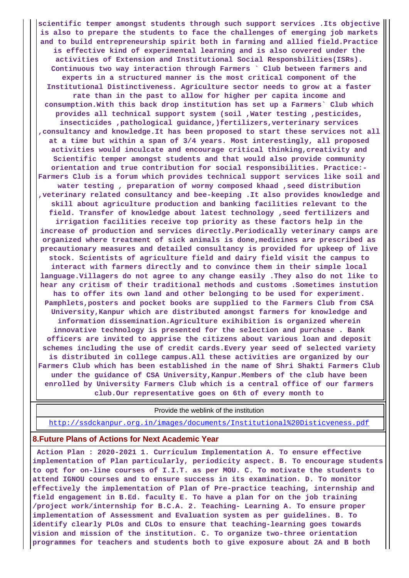**scientific temper amongst students through such support services .Its objective is also to prepare the students to face the challenges of emerging job markets and to build entrepreneurship spirit both in farming and allied field.Practice is effective kind of experimental learning and is also covered under the activities of Extension and Institutional Social Responsbilities(ISRs). Continuous two way interaction through Farmers ` Club between farmers and experts in a structured manner is the most critical component of the Institutional Distinctiveness. Agriculture sector needs to grow at a faster rate than in the past to allow for higher per capita income and consumption.With this back drop institution has set up a Farmers` Club which provides all technical support system (soil ,Water testing ,pesticides, insecticides ,pathological guidance,)fertilizers,verterinary services ,consultancy and knowledge.It has been proposed to start these services not all at a time but within a span of 3/4 years. Most interestingly, all proposed activities would inculcate and encourage critical thinking,creativity and Scientific temper amongst students and that would also provide community orientation and true contribution for social responsibilities. Practice:- Farmers Club is a forum which provides technical support services like soil and water testing , preparation of wormy composed khaad ,seed distribution ,veterinary related consultancy and bee-keeping .It also provides knowledge and skill about agriculture production and banking facilities relevant to the field. Transfer of knowledge about latest technology ,seed fertilizers and irrigation facilities receive top priority as these factors help in the increase of production and services directly.Periodically veterinary camps are organized where treatment of sick animals is done,medicines are prescribed as precautionary measures and detailed consultancy is provided for upkeep of live stock. Scientists of agriculture field and dairy field visit the campus to interact with farmers directly and to convince them in their simple local language.Villagers do not agree to any change easily .They also do not like to hear any critism of their traditional methods and customs .Sometimes instution has to offer its own land and other belonging to be used for experiment. Pamphlets,posters and pocket books are supplied to the Farmers Club from CSA University,Kanpur which are distributed amongst farmers for knowledge and information dissemination.Agriculture exihibition is organized wherein innovative technology is presented for the selection and purchase . Bank officers are invited to apprise the citizens about various loan and deposit schemes including the use of credit cards.Every year seed of selected variety is distributed in college campus.All these activities are organized by our Farmers Club which has been established in the name of Shri Shakti Farmers Club under the guidance of CSA University,Kanpur.Members of the club have been enrolled by University Farmers Club which is a central office of our farmers club.Our representative goes on 6th of every month to**

Provide the weblink of the institution

http://ssdckanpur.org.in/images/documents/Institutional%20Disticveness.pdf

#### **8.Future Plans of Actions for Next Academic Year**

 **Action Plan : 2020-2021 1. Curriculum Implementation A. To ensure effective implementation of Plan particularly, periodicity aspect. B. To encourage students to opt for on-line courses of I.I.T. as per MOU. C. To motivate the students to attend IGNOU courses and to ensure success in its examination. D. To monitor effectively the implementation of Plan of Pre-practice teaching, internship and field engagement in B.Ed. faculty E. To have a plan for on the job training /project work/internship for B.C.A. 2. Teaching- Learning A. To ensure proper implementation of Assessment and Evaluation system as per guidelines. B. To identify clearly PLOs and CLOs to ensure that teaching-learning goes towards vision and mission of the institution. C. To organize two-three orientation programmes for teachers and students both to give exposure about 2A and B both**